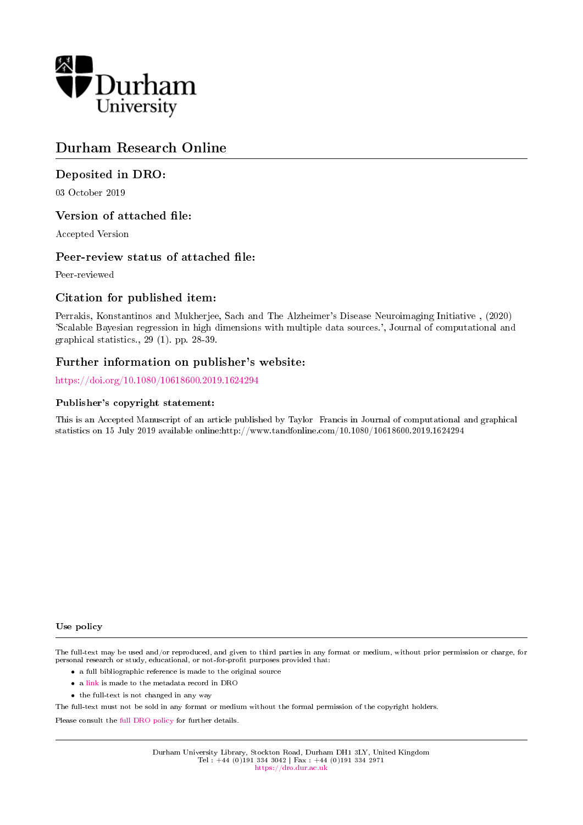

# Durham Research Online

## Deposited in DRO:

03 October 2019

## Version of attached file:

Accepted Version

## Peer-review status of attached file:

Peer-reviewed

## Citation for published item:

Perrakis, Konstantinos and Mukherjee, Sach and The Alzheimer's Disease Neuroimaging Initiative , (2020) 'Scalable Bayesian regression in high dimensions with multiple data sources.', Journal of computational and graphical statistics., 29 (1). pp. 28-39.

## Further information on publisher's website:

<https://doi.org/10.1080/10618600.2019.1624294>

#### Publisher's copyright statement:

This is an Accepted Manuscript of an article published by Taylor Francis in Journal of computational and graphical statistics on 15 July 2019 available online:http://www.tandfonline.com/10.1080/10618600.2019.1624294

#### Use policy

The full-text may be used and/or reproduced, and given to third parties in any format or medium, without prior permission or charge, for personal research or study, educational, or not-for-profit purposes provided that:

- a full bibliographic reference is made to the original source
- a [link](http://dro.dur.ac.uk/29201/) is made to the metadata record in DRO
- the full-text is not changed in any way

The full-text must not be sold in any format or medium without the formal permission of the copyright holders.

Please consult the [full DRO policy](https://dro.dur.ac.uk/policies/usepolicy.pdf) for further details.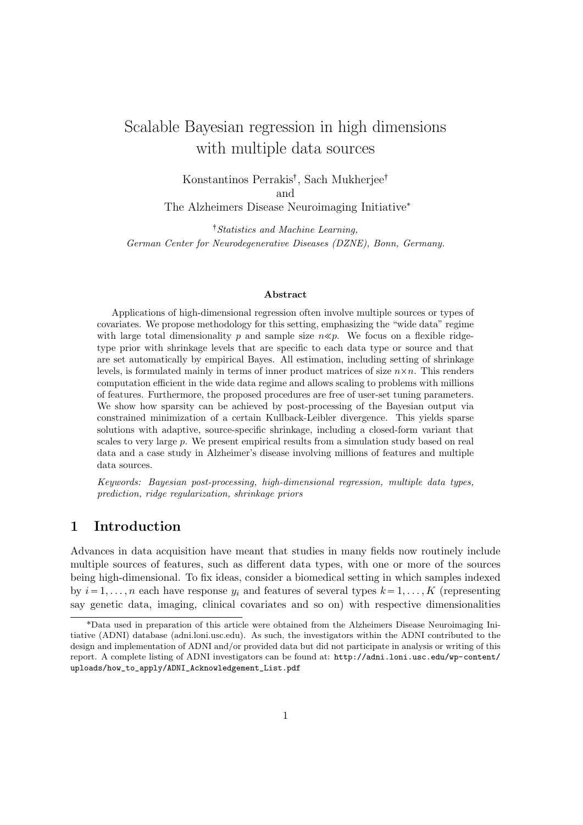# Scalable Bayesian regression in high dimensions with multiple data sources

Konstantinos Perrakis<sup>†</sup>, Sach Mukherjee<sup>†</sup> and The Alzheimers Disease Neuroimaging Initiative<sup>∗</sup>

:Statistics and Machine Learning, German Center for Neurodegenerative Diseases (DZNE), Bonn, Germany.

#### Abstract

Applications of high-dimensional regression often involve multiple sources or types of covariates. We propose methodology for this setting, emphasizing the "wide data" regime with large total dimensionality  $p$  and sample size  $n \ll p$ . We focus on a flexible ridgetype prior with shrinkage levels that are specific to each data type or source and that are set automatically by empirical Bayes. All estimation, including setting of shrinkage levels, is formulated mainly in terms of inner product matrices of size  $n \times n$ . This renders computation efficient in the wide data regime and allows scaling to problems with millions of features. Furthermore, the proposed procedures are free of user-set tuning parameters. We show how sparsity can be achieved by post-processing of the Bayesian output via constrained minimization of a certain Kullback-Leibler divergence. This yields sparse solutions with adaptive, source-specific shrinkage, including a closed-form variant that scales to very large  $p$ . We present empirical results from a simulation study based on real data and a case study in Alzheimer's disease involving millions of features and multiple data sources.

Keywords: Bayesian post-processing, high-dimensional regression, multiple data types, prediction, ridge regularization, shrinkage priors

## 1 Introduction

Advances in data acquisition have meant that studies in many fields now routinely include multiple sources of features, such as different data types, with one or more of the sources being high-dimensional. To fix ideas, consider a biomedical setting in which samples indexed by  $i=1,\ldots, n$  each have response  $y_i$  and features of several types  $k=1,\ldots, K$  (representing say genetic data, imaging, clinical covariates and so on) with respective dimensionalities

<sup>\*</sup>Data used in preparation of this article were obtained from the Alzheimers Disease Neuroimaging Initiative (ADNI) database (adni.loni.usc.edu). As such, the investigators within the ADNI contributed to the design and implementation of ADNI and/or provided data but did not participate in analysis or writing of this report. A complete listing of ADNI investigators can be found at: [http://adni.loni.usc.edu/wp-content/](http://adni.loni.usc.edu/wp-content/uploads/how_to_apply/ADNI_Acknowledgement_List.pdf) [uploads/how\\_to\\_apply/ADNI\\_Acknowledgement\\_List.pdf](http://adni.loni.usc.edu/wp-content/uploads/how_to_apply/ADNI_Acknowledgement_List.pdf)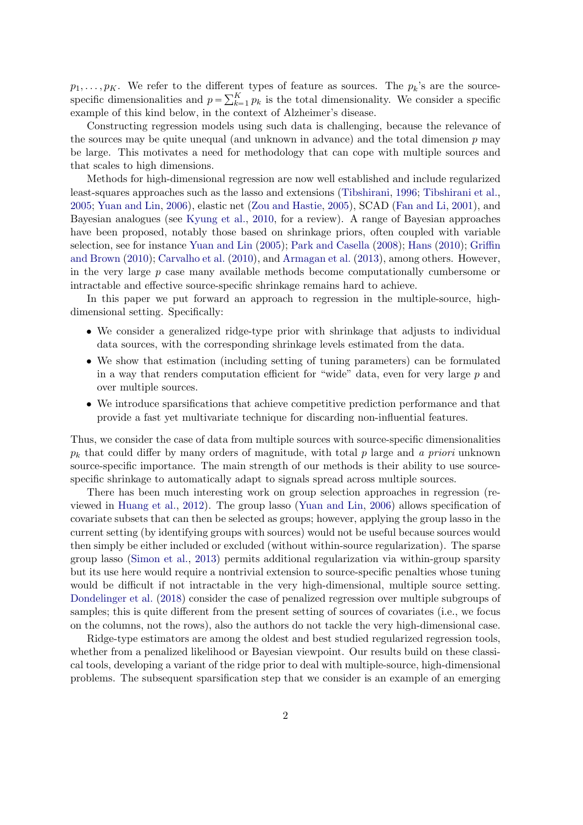$p_1, \ldots, p_K$ . We refer to the different types of feature as sources. The  $p_k$ 's are the sourcespecific dimensionalities and  $p = \sum_{k=1}^{K} p_k$  is the total dimensionality. We consider a specific example of this kind below, in the context of Alzheimer's disease.

Constructing regression models using such data is challenging, because the relevance of the sources may be quite unequal (and unknown in advance) and the total dimension  $p$  may be large. This motivates a need for methodology that can cope with multiple sources and that scales to high dimensions.

Methods for high-dimensional regression are now well established and include regularized least-squares approaches such as the lasso and extensions [\(Tibshirani,](#page-23-0) [1996;](#page-23-0) [Tibshirani et al.,](#page-23-1) [2005;](#page-23-1) [Yuan and Lin,](#page-23-2) [2006\)](#page-23-2), elastic net [\(Zou and Hastie,](#page-23-3) [2005\)](#page-23-3), SCAD [\(Fan and Li,](#page-21-0) [2001\)](#page-21-0), and Bayesian analogues (see [Kyung et al.,](#page-22-0) [2010,](#page-22-0) for a review). A range of Bayesian approaches have been proposed, notably those based on shrinkage priors, often coupled with variable selection, see for instance [Yuan and Lin](#page-23-4) [\(2005\)](#page-23-4); [Park and Casella](#page-22-1) [\(2008\)](#page-22-1); [Hans](#page-22-2) [\(2010\)](#page-22-2); [Griffin](#page-22-3) [and Brown](#page-22-3) [\(2010\)](#page-22-3); [Carvalho et al.](#page-21-1) [\(2010\)](#page-21-1), and [Armagan et al.](#page-21-2) [\(2013\)](#page-21-2), among others. However, in the very large p case many available methods become computationally cumbersome or intractable and effective source-specific shrinkage remains hard to achieve.

In this paper we put forward an approach to regression in the multiple-source, highdimensional setting. Specifically:

- We consider a generalized ridge-type prior with shrinkage that adjusts to individual data sources, with the corresponding shrinkage levels estimated from the data.
- We show that estimation (including setting of tuning parameters) can be formulated in a way that renders computation efficient for "wide" data, even for very large  $p$  and over multiple sources.
- We introduce sparsifications that achieve competitive prediction performance and that provide a fast yet multivariate technique for discarding non-influential features.

Thus, we consider the case of data from multiple sources with source-specific dimensionalities  $p_k$  that could differ by many orders of magnitude, with total p large and a priori unknown source-specific importance. The main strength of our methods is their ability to use sourcespecific shrinkage to automatically adapt to signals spread across multiple sources.

There has been much interesting work on group selection approaches in regression (reviewed in [Huang et al.,](#page-22-4) [2012\)](#page-22-4). The group lasso [\(Yuan and Lin,](#page-23-2) [2006\)](#page-23-2) allows specification of covariate subsets that can then be selected as groups; however, applying the group lasso in the current setting (by identifying groups with sources) would not be useful because sources would then simply be either included or excluded (without within-source regularization). The sparse group lasso [\(Simon et al.,](#page-23-5) [2013\)](#page-23-5) permits additional regularization via within-group sparsity but its use here would require a nontrivial extension to source-specific penalties whose tuning would be difficult if not intractable in the very high-dimensional, multiple source setting. [Dondelinger et al.](#page-21-3) [\(2018\)](#page-21-3) consider the case of penalized regression over multiple subgroups of samples; this is quite different from the present setting of sources of covariates (i.e., we focus on the columns, not the rows), also the authors do not tackle the very high-dimensional case.

Ridge-type estimators are among the oldest and best studied regularized regression tools, whether from a penalized likelihood or Bayesian viewpoint. Our results build on these classical tools, developing a variant of the ridge prior to deal with multiple-source, high-dimensional problems. The subsequent sparsification step that we consider is an example of an emerging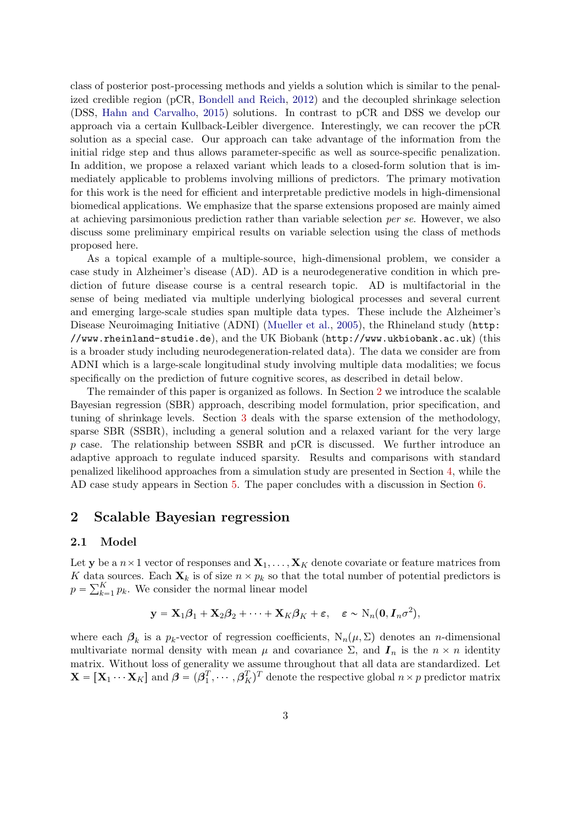class of posterior post-processing methods and yields a solution which is similar to the penalized credible region (pCR, [Bondell and Reich,](#page-21-4) [2012\)](#page-21-4) and the decoupled shrinkage selection (DSS, [Hahn and Carvalho,](#page-22-5) [2015\)](#page-22-5) solutions. In contrast to pCR and DSS we develop our approach via a certain Kullback-Leibler divergence. Interestingly, we can recover the pCR solution as a special case. Our approach can take advantage of the information from the initial ridge step and thus allows parameter-specific as well as source-specific penalization. In addition, we propose a relaxed variant which leads to a closed-form solution that is immediately applicable to problems involving millions of predictors. The primary motivation for this work is the need for efficient and interpretable predictive models in high-dimensional biomedical applications. We emphasize that the sparse extensions proposed are mainly aimed at achieving parsimonious prediction rather than variable selection per se. However, we also discuss some preliminary empirical results on variable selection using the class of methods proposed here.

As a topical example of a multiple-source, high-dimensional problem, we consider a case study in Alzheimer's disease (AD). AD is a neurodegenerative condition in which prediction of future disease course is a central research topic. AD is multifactorial in the sense of being mediated via multiple underlying biological processes and several current and emerging large-scale studies span multiple data types. These include the Alzheimer's Disease Neuroimaging Initiative (ADNI) [\(Mueller et al.,](#page-22-6) [2005\)](#page-22-6), the Rhineland study ([http:](http://www.rheinland-studie.de) [//www.rheinland-studie.de](http://www.rheinland-studie.de)), and the UK Biobank (<http://www.ukbiobank.ac.uk>) (this is a broader study including neurodegeneration-related data). The data we consider are from ADNI which is a large-scale longitudinal study involving multiple data modalities; we focus specifically on the prediction of future cognitive scores, as described in detail below.

The remainder of this paper is organized as follows. In Section [2](#page-3-0) we introduce the scalable Bayesian regression (SBR) approach, describing model formulation, prior specification, and tuning of shrinkage levels. Section [3](#page-7-0) deals with the sparse extension of the methodology, sparse SBR (SSBR), including a general solution and a relaxed variant for the very large p case. The relationship between SSBR and pCR is discussed. We further introduce an adaptive approach to regulate induced sparsity. Results and comparisons with standard penalized likelihood approaches from a simulation study are presented in Section [4,](#page-11-0) while the AD case study appears in Section [5.](#page-17-0) The paper concludes with a discussion in Section [6.](#page-19-0)

## <span id="page-3-0"></span>2 Scalable Bayesian regression

#### 2.1 Model

Let **y** be a  $n \times 1$  vector of responses and  $\mathbf{X}_1, \ldots, \mathbf{X}_K$  denote covariate or feature matrices from K data sources. Each  $\mathbf{X}_k$  is of size  $n \times p_k$  so that the total number of potential predictors is  $p = \sum_{k=1}^{K} p_k$ . We consider the normal linear model

$$
\mathbf{y} = \mathbf{X}_1 \boldsymbol{\beta}_1 + \mathbf{X}_2 \boldsymbol{\beta}_2 + \cdots + \mathbf{X}_K \boldsymbol{\beta}_K + \boldsymbol{\varepsilon}, \quad \boldsymbol{\varepsilon} \sim \mathrm{N}_n(\mathbf{0}, \mathbf{I}_n \sigma^2),
$$

where each  $\beta_k$  is a  $p_k$ -vector of regression coefficients,  $N_n(\mu, \Sigma)$  denotes an *n*-dimensional multivariate normal density with mean  $\mu$  and covariance  $\Sigma$ , and  $\boldsymbol{I}_n$  is the  $n \times n$  identity matrix. Without loss of generality we assume throughout that all data are standardized. Let  $\mathbf{X} = [\mathbf{X}_1 \cdots \mathbf{X}_K]$  and  $\boldsymbol{\beta} = (\boldsymbol{\beta}_1^T, \cdots, \boldsymbol{\beta}_K^T)^T$  denote the respective global  $n \times p$  predictor matrix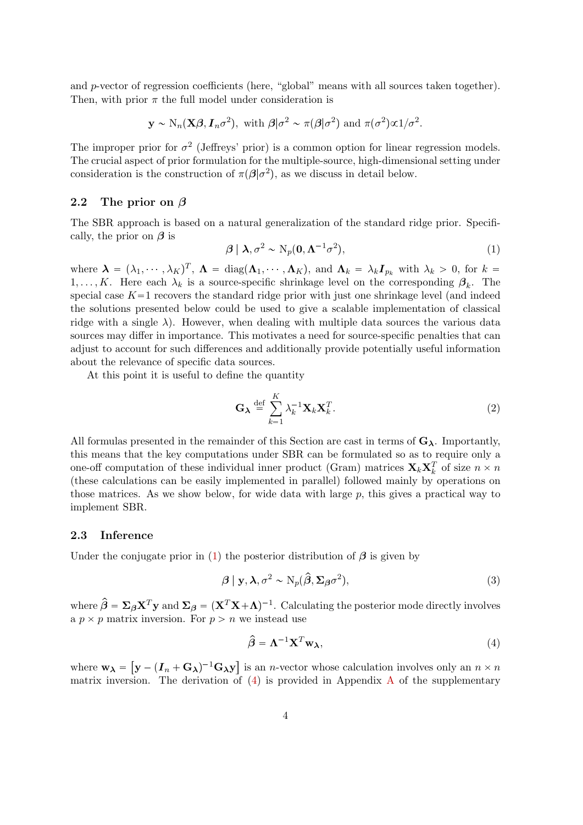and p-vector of regression coefficients (here, "global" means with all sources taken together). Then, with prior  $\pi$  the full model under consideration is

$$
\mathbf{y} \sim N_n(\mathbf{X}\boldsymbol{\beta}, \mathbf{I}_n \sigma^2),
$$
 with  $\boldsymbol{\beta} | \sigma^2 \sim \pi(\boldsymbol{\beta} | \sigma^2)$  and  $\pi(\sigma^2) \propto 1 / \sigma^2$ .

The improper prior for  $\sigma^2$  (Jeffreys' prior) is a common option for linear regression models. The crucial aspect of prior formulation for the multiple-source, high-dimensional setting under consideration is the construction of  $\pi(\beta|\sigma^2)$ , as we discuss in detail below.

#### 2.2 The prior on  $\beta$

The SBR approach is based on a natural generalization of the standard ridge prior. Specifically, the prior on  $\beta$  is

<span id="page-4-0"></span>
$$
\beta \mid \lambda, \sigma^2 \sim N_p(\mathbf{0}, \mathbf{\Lambda}^{-1} \sigma^2), \tag{1}
$$

where  $\boldsymbol{\lambda} = (\lambda_1, \cdots, \lambda_K)^T$ ,  $\boldsymbol{\Lambda} = \text{diag}(\boldsymbol{\Lambda}_1, \cdots, \boldsymbol{\Lambda}_K)$ , and  $\boldsymbol{\Lambda}_k = \lambda_k \boldsymbol{I}_{p_k}$  with  $\lambda_k > 0$ , for  $k =$ 1,..., K. Here each  $\lambda_k$  is a source-specific shrinkage level on the corresponding  $\beta_k$ . The special case  $K=1$  recovers the standard ridge prior with just one shrinkage level (and indeed the solutions presented below could be used to give a scalable implementation of classical ridge with a single  $\lambda$ ). However, when dealing with multiple data sources the various data sources may differ in importance. This motivates a need for source-specific penalties that can adjust to account for such differences and additionally provide potentially useful information about the relevance of specific data sources.

At this point it is useful to define the quantity

$$
\mathbf{G}_{\lambda} \stackrel{\text{def}}{=} \sum_{k=1}^{K} \lambda_k^{-1} \mathbf{X}_k \mathbf{X}_k^T.
$$
 (2)

All formulas presented in the remainder of this Section are cast in terms of  $G_{\lambda}$ . Importantly, this means that the key computations under SBR can be formulated so as to require only a one-off computation of these individual inner product (Gram) matrices  $\mathbf{X}_k \mathbf{X}_k^T$  of size  $n \times n$ (these calculations can be easily implemented in parallel) followed mainly by operations on those matrices. As we show below, for wide data with large p, this gives a practical way to implement SBR.

#### 2.3 Inference

Under the conjugate prior in [\(1\)](#page-4-0) the posterior distribution of  $\beta$  is given by

$$
\boldsymbol{\beta} \mid \mathbf{y}, \boldsymbol{\lambda}, \sigma^2 \sim \mathrm{N}_p(\hat{\boldsymbol{\beta}}, \boldsymbol{\Sigma}_{\boldsymbol{\beta}} \sigma^2), \tag{3}
$$

where  $\hat{\beta} = \Sigma_{\beta} \mathbf{X}^T \mathbf{y}$  and  $\Sigma_{\beta} = (\mathbf{X}^T \mathbf{X} + \mathbf{\Lambda})^{-1}$ . Calculating the posterior mode directly involves a  $p \times p$  matrix inversion. For  $p > n$  we instead use

<span id="page-4-1"></span>
$$
\hat{\beta} = \Lambda^{-1} \mathbf{X}^T \mathbf{w}_{\lambda},\tag{4}
$$

where  $w_{\lambda} = [y - (I_n + G_{\lambda})^{-1}G_{\lambda}y]$  is an *n*-vector whose calculation involves only an  $n \times n$ matrix inversion. The derivation of  $(4)$  is provided in [A](#page-24-0)ppendix A of the supplementary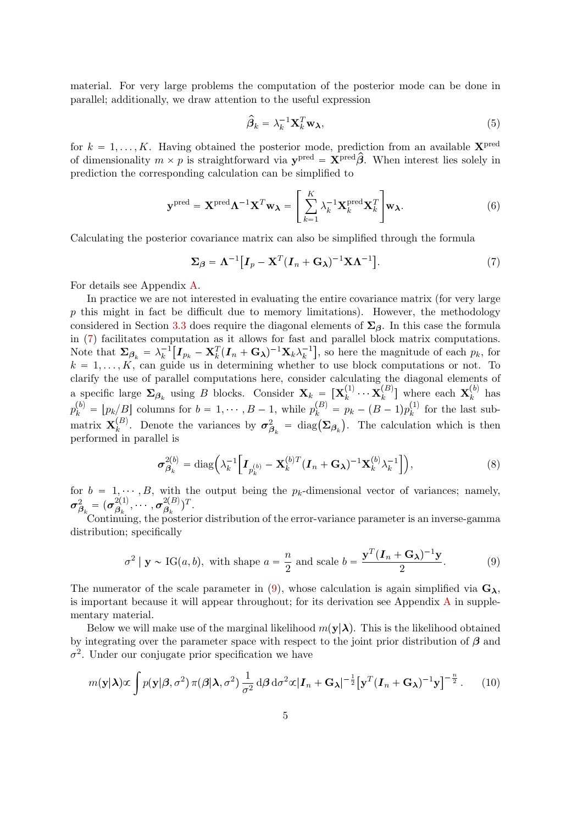material. For very large problems the computation of the posterior mode can be done in parallel; additionally, we draw attention to the useful expression

$$
\hat{\beta}_k = \lambda_k^{-1} \mathbf{X}_k^T \mathbf{w}_\lambda,\tag{5}
$$

for  $k = 1, \ldots, K$ . Having obtained the posterior mode, prediction from an available  $\mathbf{X}^{\text{pred}}$ of dimensionality  $m \times p$  is straightforward via  $\mathbf{y}^{\text{pred}} = \mathbf{X}^{\text{pred}} \hat{\boldsymbol{\beta}}$ . When interest lies solely in prediction the corresponding calculation can be simplified to

$$
\mathbf{y}^{\text{pred}} = \mathbf{X}^{\text{pred}} \boldsymbol{\Lambda}^{-1} \mathbf{X}^T \mathbf{w}_{\boldsymbol{\lambda}} = \left[ \sum_{k=1}^K \lambda_k^{-1} \mathbf{X}_k^{\text{pred}} \mathbf{X}_k^T \right] \mathbf{w}_{\boldsymbol{\lambda}}.
$$
 (6)

Calculating the posterior covariance matrix can also be simplified through the formula

<span id="page-5-0"></span>
$$
\Sigma_{\beta} = \Lambda^{-1} \big[ I_p - \mathbf{X}^T (I_n + \mathbf{G}_{\lambda})^{-1} \mathbf{X} \Lambda^{-1} \big]. \tag{7}
$$

For details see Appendix [A.](#page-24-0)

In practice we are not interested in evaluating the entire covariance matrix (for very large  $p$  this might in fact be difficult due to memory limitations). However, the methodology considered in Section [3.3](#page-9-0) does require the diagonal elements of  $\Sigma_{\beta}$ . In this case the formula in [\(7\)](#page-5-0) facilitates computation as it allows for fast and parallel block matrix computations. Note that  $\Sigma_{\beta_k} = \lambda_k^{-1} \big[ I_{p_k} - \mathbf{X}_k^T (I_n + \mathbf{G}_{\lambda})^{-1} \mathbf{X}_k \lambda_k^{-1} \big],$  so here the magnitude of each  $p_k$ , for  $k = 1, \ldots, K$ , can guide us in determining whether to use block computations or not. To clarify the use of parallel computations here, consider calculating the diagonal elements of a specific large  $\Sigma_{\beta_k}$  using B blocks. Consider  $\mathbf{X}_k = [\mathbf{X}_k^{(1)}]$  $\mathbf{x}_k^{(1)} \cdots \mathbf{X}_k^{(B)}$  $\binom{B}{k}$  where each  $\mathbf{X}_k^{(b)}$  $\kappa^{(0)}$  has  $p_k^{(b)} = [p_k / B]$  columns for  $b = 1, \dots, B - 1$ , while  $p_k^{(B)} = p_k - (B - 1)p_k^{(1)}$  $k^{(1)}$  for the last submatrix  $\mathbf{X}_k^{(B)}$ <sup>(B)</sup>. Denote the variances by  $\sigma_{\beta_k}^2 = \text{diag}(\Sigma_{\beta_k})$ . The calculation which is then performed in parallel is

<span id="page-5-3"></span>
$$
\sigma_{\beta_k}^{2(b)} = \text{diag}\Big(\lambda_k^{-1} \Big[ \boldsymbol{I}_{p_k^{(b)}} - \mathbf{X}_k^{(b)T} (\boldsymbol{I}_n + \mathbf{G}_{\boldsymbol{\lambda}})^{-1} \mathbf{X}_k^{(b)} \lambda_k^{-1} \Big] \Big), \tag{8}
$$

for  $b = 1, \dots, B$ , with the output being the  $p_k$ -dimensional vector of variances; namely,  $\boldsymbol{\sigma}_{\boldsymbol{\beta}_k}^2 = (\boldsymbol{\sigma}_{\boldsymbol{\beta}_k}^{2(1)})$  $\overset{2(1)}{\beta_{k}},\cdots,\overset{2(B)}{\sigma_{\beta_{k}}^2}$  $\frac{2(B)}{\boldsymbol{\beta}_k} \big)^T.$ 

Continuing, the posterior distribution of the error-variance parameter is an inverse-gamma distribution; specifically

<span id="page-5-1"></span>
$$
\sigma^2 \mid \mathbf{y} \sim \text{IG}(a, b), \text{ with shape } a = \frac{n}{2} \text{ and scale } b = \frac{\mathbf{y}^T (\mathbf{I}_n + \mathbf{G}_\lambda)^{-1} \mathbf{y}}{2}.
$$
 (9)

The numerator of the scale parameter in [\(9\)](#page-5-1), whose calculation is again simplified via  $G_{\lambda}$ , is important because it will appear throughout; for its derivation see [A](#page-24-0)ppendix  $A$  in supplementary material.

Below we will make use of the marginal likelihood  $m(\mathbf{v}|\lambda)$ . This is the likelihood obtained by integrating over the parameter space with respect to the joint prior distribution of  $\beta$  and  $\sigma^2$ . Under our conjugate prior specification we have

<span id="page-5-2"></span>
$$
m(\mathbf{y}|\boldsymbol{\lambda}) \propto \int p(\mathbf{y}|\boldsymbol{\beta}, \sigma^2) \,\pi(\boldsymbol{\beta}|\boldsymbol{\lambda}, \sigma^2) \,\frac{1}{\sigma^2} \,\mathrm{d}\boldsymbol{\beta} \,\mathrm{d}\sigma^2 \propto |\boldsymbol{I}_n + \mathbf{G}_{\boldsymbol{\lambda}}|^{-\frac{1}{2}} \big[\mathbf{y}^T (\boldsymbol{I}_n + \mathbf{G}_{\boldsymbol{\lambda}})^{-1} \mathbf{y}\big]^{-\frac{n}{2}}\,. \tag{10}
$$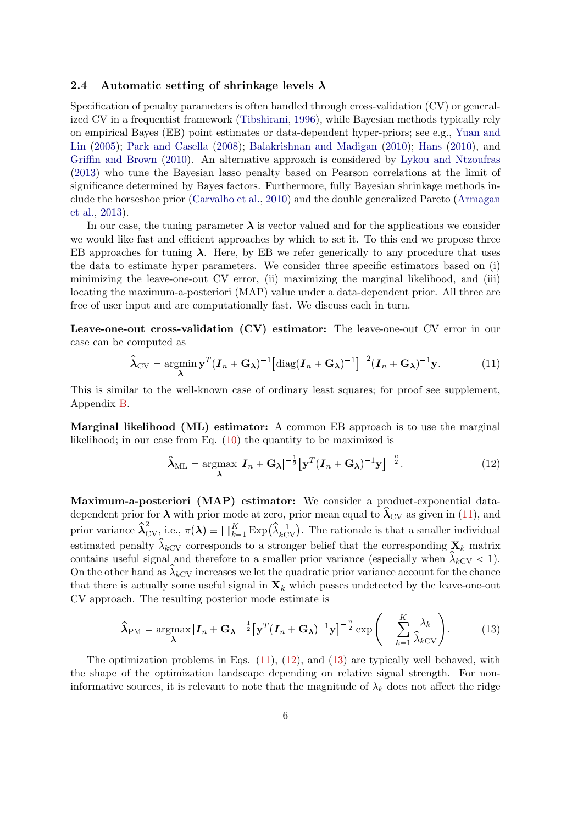#### <span id="page-6-3"></span>2.4 Automatic setting of shrinkage levels  $\lambda$

Specification of penalty parameters is often handled through cross-validation (CV) or generalized CV in a frequentist framework [\(Tibshirani,](#page-23-0) [1996\)](#page-23-0), while Bayesian methods typically rely on empirical Bayes (EB) point estimates or data-dependent hyper-priors; see e.g., [Yuan and](#page-23-4) [Lin](#page-23-4) [\(2005\)](#page-23-4); [Park and Casella](#page-22-1) [\(2008\)](#page-22-1); [Balakrishnan and Madigan](#page-21-5) [\(2010\)](#page-21-5); [Hans](#page-22-2) [\(2010\)](#page-22-2), and [Griffin and Brown](#page-22-3) [\(2010\)](#page-22-3). An alternative approach is considered by [Lykou and Ntzoufras](#page-22-7) [\(2013\)](#page-22-7) who tune the Bayesian lasso penalty based on Pearson correlations at the limit of significance determined by Bayes factors. Furthermore, fully Bayesian shrinkage methods include the horseshoe prior [\(Carvalho et al.,](#page-21-1) [2010\)](#page-21-1) and the double generalized Pareto [\(Armagan](#page-21-2) [et al.,](#page-21-2) [2013\)](#page-21-2).

In our case, the tuning parameter  $\lambda$  is vector valued and for the applications we consider we would like fast and efficient approaches by which to set it. To this end we propose three EB approaches for tuning  $\lambda$ . Here, by EB we refer generically to any procedure that uses the data to estimate hyper parameters. We consider three specific estimators based on (i) minimizing the leave-one-out CV error, (ii) maximizing the marginal likelihood, and (iii) locating the maximum-a-posteriori (MAP) value under a data-dependent prior. All three are free of user input and are computationally fast. We discuss each in turn.

Leave-one-out cross-validation (CV) estimator: The leave-one-out CV error in our case can be computed as

<span id="page-6-0"></span>
$$
\widehat{\lambda}_{CV} = \underset{\lambda}{\operatorname{argmin}} \mathbf{y}^T (\boldsymbol{I}_n + \mathbf{G}_{\lambda})^{-1} \left[ \operatorname{diag}(\boldsymbol{I}_n + \mathbf{G}_{\lambda})^{-1} \right]^{-2} (\boldsymbol{I}_n + \mathbf{G}_{\lambda})^{-1} \mathbf{y}.
$$
 (11)

This is similar to the well-known case of ordinary least squares; for proof see supplement, Appendix [B.](#page-25-0)

Marginal likelihood (ML) estimator: A common EB approach is to use the marginal likelihood; in our case from Eq. [\(10\)](#page-5-2) the quantity to be maximized is

<span id="page-6-1"></span>
$$
\hat{\lambda}_{\mathrm{ML}} = \underset{\lambda}{\operatorname{argmax}} |\mathbf{I}_n + \mathbf{G}_{\lambda}|^{-\frac{1}{2}} \big[ \mathbf{y}^T (\mathbf{I}_n + \mathbf{G}_{\lambda})^{-1} \mathbf{y} \big]^{-\frac{n}{2}}.
$$
 (12)

Maximum-a-posteriori (MAP) estimator: We consider a product-exponential datadependent prior for  $\lambda$  with prior mode at zero, prior mean equal to  $\lambda_{\rm CV}$  as given in [\(11\)](#page-6-0), and prior variance  $\hat{\lambda}_{\text{CV},\lambda}^{2}$  i.e.,  $\pi(\lambda) \equiv \prod_{k=1}^{K} \text{Exp}(\hat{\lambda}_{k\text{CV}}^{-1})$ . The rationale is that a smaller individual estimated penalty  $\lambda_{kCV}$  corresponds to a stronger belief that the corresponding  $\mathbf{X}_k$  matrix contains useful signal and therefore to a smaller prior variance (especially when  $\lambda_{kCV} < 1$ ). On the other hand as  $\lambda_{k}$ CV increases we let the quadratic prior variance account for the chance that there is actually some useful signal in  $\mathbf{X}_k$  which passes undetected by the leave-one-out CV approach. The resulting posterior mode estimate is

<span id="page-6-2"></span>
$$
\widehat{\boldsymbol{\lambda}}_{\text{PM}} = \underset{\boldsymbol{\lambda}}{\text{argmax}} |\boldsymbol{I}_n + \mathbf{G}_{\boldsymbol{\lambda}}|^{-\frac{1}{2}} \big[ \mathbf{y}^T (\boldsymbol{I}_n + \mathbf{G}_{\boldsymbol{\lambda}})^{-1} \mathbf{y} \big]^{-\frac{n}{2}} \exp \Bigg( - \sum_{k=1}^K \frac{\lambda_k}{\widehat{\lambda}_k} \Bigg). \tag{13}
$$

The optimization problems in Eqs.  $(11)$ ,  $(12)$ , and  $(13)$  are typically well behaved, with the shape of the optimization landscape depending on relative signal strength. For noninformative sources, it is relevant to note that the magnitude of  $\lambda_k$  does not affect the ridge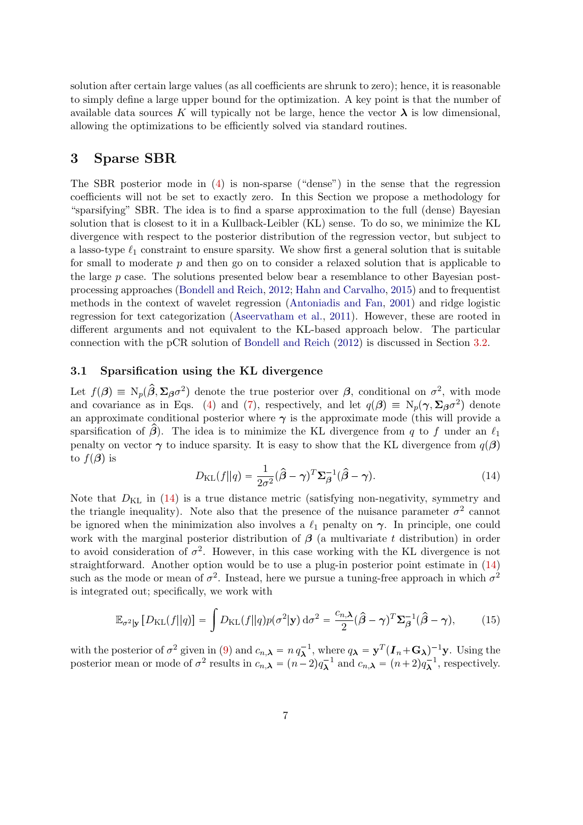solution after certain large values (as all coefficients are shrunk to zero); hence, it is reasonable to simply define a large upper bound for the optimization. A key point is that the number of available data sources K will typically not be large, hence the vector  $\lambda$  is low dimensional, allowing the optimizations to be efficiently solved via standard routines.

## <span id="page-7-0"></span>3 Sparse SBR

The SBR posterior mode in [\(4\)](#page-4-1) is non-sparse ("dense") in the sense that the regression coefficients will not be set to exactly zero. In this Section we propose a methodology for "sparsifying" SBR. The idea is to find a sparse approximation to the full (dense) Bayesian solution that is closest to it in a Kullback-Leibler (KL) sense. To do so, we minimize the KL divergence with respect to the posterior distribution of the regression vector, but subject to a lasso-type  $\ell_1$  constraint to ensure sparsity. We show first a general solution that is suitable for small to moderate  $p$  and then go on to consider a relaxed solution that is applicable to the large p case. The solutions presented below bear a resemblance to other Bayesian postprocessing approaches [\(Bondell and Reich,](#page-21-4) [2012;](#page-21-4) [Hahn and Carvalho,](#page-22-5) [2015\)](#page-22-5) and to frequentist methods in the context of wavelet regression [\(Antoniadis and Fan,](#page-21-6) [2001\)](#page-21-6) and ridge logistic regression for text categorization [\(Aseervatham et al.,](#page-21-7) [2011\)](#page-21-7). However, these are rooted in different arguments and not equivalent to the KL-based approach below. The particular connection with the pCR solution of [Bondell and Reich](#page-21-4) [\(2012\)](#page-21-4) is discussed in Section [3.2.](#page-8-0)

## 3.1 Sparsification using the KL divergence

Let  $f(\boldsymbol{\beta}) \equiv N_p(\hat{\boldsymbol{\beta}}, \Sigma_{\boldsymbol{\beta}} \sigma^2)$  denote the true posterior over  $\boldsymbol{\beta}$ , conditional on  $\sigma^2$ , with mode and covariance as in Eqs. [\(4\)](#page-4-1) and [\(7\)](#page-5-0), respectively, and let  $q(\boldsymbol{\beta}) \equiv N_p(\boldsymbol{\gamma}, \boldsymbol{\Sigma}_{\boldsymbol{\beta}} \sigma^2)$  denote an approximate conditional posterior where  $\gamma$  is the approximate mode (this will provide a sparsification of  $\beta$ ). The idea is to minimize the KL divergence from q to f under an  $\ell_1$ penalty on vector  $\gamma$  to induce sparsity. It is easy to show that the KL divergence from  $q(\beta)$ to  $f(\boldsymbol{\beta})$  is

<span id="page-7-1"></span>
$$
D_{\text{KL}}(f||q) = \frac{1}{2\sigma^2}(\hat{\boldsymbol{\beta}} - \boldsymbol{\gamma})^T \boldsymbol{\Sigma}_{\boldsymbol{\beta}}^{-1}(\hat{\boldsymbol{\beta}} - \boldsymbol{\gamma}).
$$
\n(14)

Note that  $D_{KL}$  in [\(14\)](#page-7-1) is a true distance metric (satisfying non-negativity, symmetry and the triangle inequality). Note also that the presence of the nuisance parameter  $\sigma^2$  cannot be ignored when the minimization also involves a  $\ell_1$  penalty on  $\gamma$ . In principle, one could work with the marginal posterior distribution of  $\beta$  (a multivariate t distribution) in order to avoid consideration of  $\sigma^2$ . However, in this case working with the KL divergence is not straightforward. Another option would be to use a plug-in posterior point estimate in [\(14\)](#page-7-1) such as the mode or mean of  $\sigma^2$ . Instead, here we pursue a tuning-free approach in which  $\sigma^2$ is integrated out; specifically, we work with

<span id="page-7-2"></span>
$$
\mathbb{E}_{\sigma^2|\mathbf{y}}\left[D_{\mathrm{KL}}(f||q)\right] = \int D_{\mathrm{KL}}(f||q)p(\sigma^2|\mathbf{y}) d\sigma^2 = \frac{c_{n,\lambda}}{2}(\hat{\boldsymbol{\beta}} - \boldsymbol{\gamma})^T \boldsymbol{\Sigma}_{\boldsymbol{\beta}}^{-1}(\hat{\boldsymbol{\beta}} - \boldsymbol{\gamma}),\tag{15}
$$

with the posterior of  $\sigma^2$  given in [\(9\)](#page-5-1) and  $c_{n,\lambda} = n q_{\lambda}^{-1}$ , where  $q_{\lambda} = \mathbf{y}^T (\mathbf{I}_n + \mathbf{G}_{\lambda})^{-1} \mathbf{y}$ . Using the posterior mean or mode of  $\sigma^2$  results in  $c_{n,\lambda} = (n-2)q_{\lambda}^{-1}$  and  $c_{n,\lambda} = (n+2)q_{\lambda}^{-1}$ , respectively.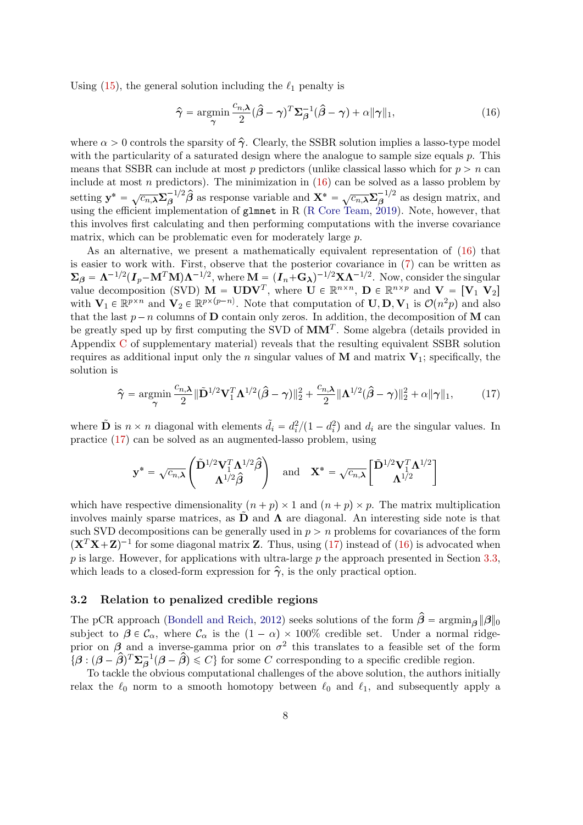Using [\(15\)](#page-7-2), the general solution including the  $\ell_1$  penalty is

<span id="page-8-1"></span>
$$
\hat{\gamma} = \underset{\gamma}{\text{argmin}} \frac{c_{n,\lambda}}{2} (\hat{\beta} - \gamma)^T \Sigma_{\beta}^{-1} (\hat{\beta} - \gamma) + \alpha ||\gamma||_1, \tag{16}
$$

where  $\alpha > 0$  controls the sparsity of  $\hat{\gamma}$ . Clearly, the SSBR solution implies a lasso-type model with the particularity of a saturated design where the analogue to sample size equals p. This means that SSBR can include at most p predictors (unlike classical lasso which for  $p > n$  can include at most n predictors). The minimization in  $(16)$  can be solved as a lasso problem by setting  $\mathbf{y}^* = \sqrt{c_{n,\lambda}} \Sigma_{\beta}^{-1/2} \hat{\boldsymbol{\beta}}$  as response variable and  $\mathbf{X}^* = \sqrt{c_{n,\lambda}} \Sigma_{\beta}^{-1/2}$  $\bar{\beta}$ <sup>-1/2</sup> as design matrix, and using the efficient implementation of glmnet in R [\(R Core Team,](#page-22-8) [2019\)](#page-22-8). Note, however, that this involves first calculating and then performing computations with the inverse covariance matrix, which can be problematic even for moderately large p.

As an alternative, we present a mathematically equivalent representation of [\(16\)](#page-8-1) that is easier to work with. First, observe that the posterior covariance in [\(7\)](#page-5-0) can be written as  $\Sigma_{\beta} = \Lambda^{-1/2} (I_p - M^T M) \Lambda^{-1/2}$ , where  $M = (I_n + G_{\lambda})^{-1/2} X \Lambda^{-1/2}$ . Now, consider the singular value decomposition (SVD)  $\mathbf{M} = \mathbf{U} \mathbf{D} \mathbf{V}^T$ , where  $\mathbf{U} \in \mathbb{R}^{n \times n}$ ,  $\mathbf{D} \in \mathbb{R}^{n \times p}$  and  $\mathbf{V} = [\mathbf{V}_1 \ \mathbf{V}_2]$ with  $\mathbf{V}_1 \in \mathbb{R}^{p \times n}$  and  $\mathbf{V}_2 \in \mathbb{R}^{p \times (p-n)}$ . Note that computation of  $\mathbf{U}, \mathbf{D}, \mathbf{V}_1$  is  $\mathcal{O}(n^2p)$  and also that the last  $p-n$  columns of **D** contain only zeros. In addition, the decomposition of **M** can be greatly sped up by first computing the SVD of  $MM<sup>T</sup>$ . Some algebra (details provided in Appendix [C](#page-26-0) of supplementary material) reveals that the resulting equivalent SSBR solution requires as additional input only the n singular values of  $M$  and matrix  $V_1$ ; specifically, the solution is

$$
\widehat{\boldsymbol{\gamma}} = \underset{\boldsymbol{\gamma}}{\operatorname{argmin}} \frac{c_{n,\boldsymbol{\lambda}}}{2} \|\widetilde{\mathbf{D}}^{1/2} \mathbf{V}_1^T \mathbf{\Lambda}^{1/2} (\widehat{\boldsymbol{\beta}} - \boldsymbol{\gamma}) \|_2^2 + \frac{c_{n,\boldsymbol{\lambda}}}{2} \|\mathbf{\Lambda}^{1/2} (\widehat{\boldsymbol{\beta}} - \boldsymbol{\gamma}) \|_2^2 + \alpha \|\boldsymbol{\gamma}\|_1, \tag{17}
$$

where  $\tilde{\mathbf{D}}$  is  $n \times n$  diagonal with elements  $\tilde{d}_i = d_i^2/(1 - d_i^2)$  and  $d_i$  are the singular values. In practice [\(17\)](#page-8-2) can be solved as an augmented-lasso problem, using

<span id="page-8-2"></span>
$$
\mathbf{y}^* = \sqrt{c_{n,\lambda}} \begin{pmatrix} \tilde{\mathbf{D}}^{1/2} \mathbf{V}_1^T \mathbf{\Lambda}^{1/2} \hat{\boldsymbol{\beta}} \\ \mathbf{\Lambda}^{1/2} \hat{\boldsymbol{\beta}} \end{pmatrix} \quad \text{and} \quad \mathbf{X}^* = \sqrt{c_{n,\lambda}} \begin{bmatrix} \tilde{\mathbf{D}}^{1/2} \mathbf{V}_1^T \mathbf{\Lambda}^{1/2} \\ \mathbf{\Lambda}^{1/2} \end{bmatrix}
$$

which have respective dimensionality  $(n+p) \times 1$  and  $(n+p) \times p$ . The matrix multiplication involves mainly sparse matrices, as  $\ddot{\mathbf{D}}$  and  $\boldsymbol{\Lambda}$  are diagonal. An interesting side note is that such SVD decompositions can be generally used in  $p > n$  problems for covariances of the form  $(\mathbf{X}^T \mathbf{X} + \mathbf{Z})^{-1}$  for some diagonal matrix Z. Thus, using [\(17\)](#page-8-2) instead of [\(16\)](#page-8-1) is advocated when  $p$  is large. However, for applications with ultra-large  $p$  the approach presented in Section [3.3,](#page-9-0) which leads to a closed-form expression for  $\hat{\gamma}$ , is the only practical option.

#### <span id="page-8-0"></span>3.2 Relation to penalized credible regions

The pCR approach [\(Bondell and Reich,](#page-21-4) [2012\)](#page-21-4) seeks solutions of the form  $\hat{\beta} = \operatorname{argmin}_{\beta} \|\beta\|_0$ subject to  $\beta \in C_{\alpha}$ , where  $C_{\alpha}$  is the  $(1 - \alpha) \times 100\%$  credible set. Under a normal ridgeprior on  $\beta$  and a inverse-gamma prior on  $\sigma^2$  this translates to a feasible set of the form  $\{\boldsymbol{\beta} : (\boldsymbol{\beta} - \boldsymbol{\hat{\beta}})^T \boldsymbol{\Sigma}_{\boldsymbol{\beta}}^{-1} (\boldsymbol{\beta} - \boldsymbol{\hat{\beta}}) \leq C\}$  for some C corresponding to a specific credible region.

To tackle the obvious computational challenges of the above solution, the authors initially relax the  $\ell_0$  norm to a smooth homotopy between  $\ell_0$  and  $\ell_1$ , and subsequently apply a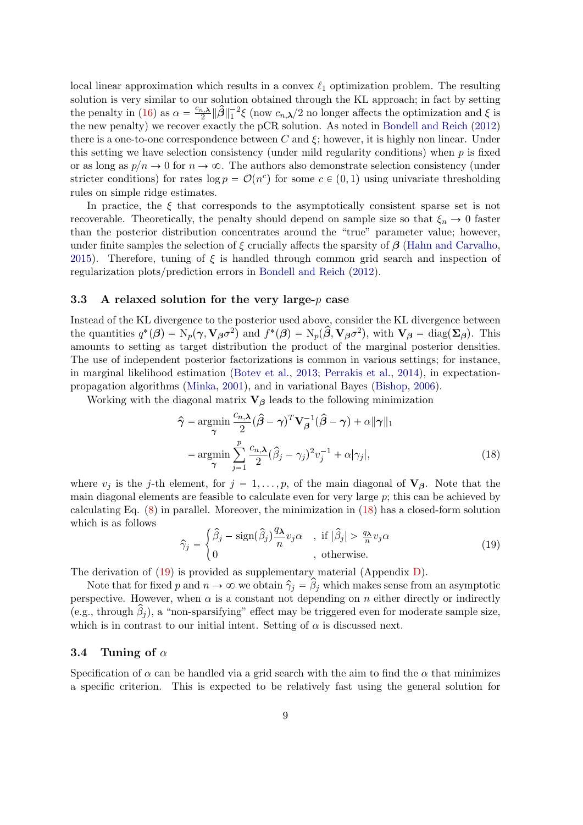local linear approximation which results in a convex  $\ell_1$  optimization problem. The resulting solution is very similar to our solution obtained through the KL approach; in fact by setting the penalty in [\(16\)](#page-8-1) as  $\alpha = \frac{c_{n,\lambda}}{2}$  $\frac{n}{2}$   $\|\hat{\beta}\|_1^{-2}\xi$  (now  $c_{n,\lambda}/2$  no longer affects the optimization and  $\xi$  is the new penalty) we recover exactly the pCR solution. As noted in [Bondell and Reich](#page-21-4) [\(2012\)](#page-21-4) there is a one-to-one correspondence between C and  $\xi$ ; however, it is highly non linear. Under this setting we have selection consistency (under mild regularity conditions) when  $p$  is fixed or as long as  $p/n \to 0$  for  $n \to \infty$ . The authors also demonstrate selection consistency (under stricter conditions) for rates  $log p = \mathcal{O}(n^c)$  for some  $c \in (0, 1)$  using univariate thresholding rules on simple ridge estimates.

In practice, the  $\xi$  that corresponds to the asymptotically consistent sparse set is not recoverable. Theoretically, the penalty should depend on sample size so that  $\xi_n \to 0$  faster than the posterior distribution concentrates around the "true" parameter value; however, under finite samples the selection of  $\xi$  crucially affects the sparsity of  $\beta$  [\(Hahn and Carvalho,](#page-22-5) [2015\)](#page-22-5). Therefore, tuning of  $\xi$  is handled through common grid search and inspection of regularization plots/prediction errors in [Bondell and Reich](#page-21-4) [\(2012\)](#page-21-4).

#### <span id="page-9-0"></span>3.3 A relaxed solution for the very large- $p$  case

Instead of the KL divergence to the posterior used above, consider the KL divergence between the quantities  $q^*(\boldsymbol{\beta}) = N_p(\boldsymbol{\gamma}, \mathbf{V}_{\boldsymbol{\beta}} \sigma^2)$  and  $f^*(\boldsymbol{\beta}) = N_p(\hat{\boldsymbol{\beta}}, \mathbf{V}_{\boldsymbol{\beta}} \sigma^2)$ , with  $\mathbf{V}_{\boldsymbol{\beta}} = \text{diag}(\boldsymbol{\Sigma}_{\boldsymbol{\beta}})$ . This amounts to setting as target distribution the product of the marginal posterior densities. The use of independent posterior factorizations is common in various settings; for instance, in marginal likelihood estimation [\(Botev et al.,](#page-21-8) [2013;](#page-21-8) [Perrakis et al.,](#page-22-9) [2014\)](#page-22-9), in expectationpropagation algorithms [\(Minka,](#page-22-10) [2001\)](#page-22-10), and in variational Bayes [\(Bishop,](#page-21-9) [2006\)](#page-21-9).

Working with the diagonal matrix  $V_\beta$  leads to the following minimization

<span id="page-9-1"></span>
$$
\hat{\gamma} = \underset{\gamma}{\operatorname{argmin}} \frac{c_{n,\lambda}}{2} (\hat{\beta} - \gamma)^T \mathbf{V}_{\beta}^{-1} (\hat{\beta} - \gamma) + \alpha ||\gamma||_1
$$

$$
= \underset{\gamma}{\operatorname{argmin}} \sum_{j=1}^{p} \frac{c_{n,\lambda}}{2} (\hat{\beta}_j - \gamma_j)^2 v_j^{-1} + \alpha |\gamma_j|, \tag{18}
$$

where  $v_j$  is the j-th element, for  $j = 1, \ldots, p$ , of the main diagonal of  $V_\beta$ . Note that the main diagonal elements are feasible to calculate even for very large  $p$ ; this can be achieved by calculating Eq. [\(8\)](#page-5-3) in parallel. Moreover, the minimization in [\(18\)](#page-9-1) has a closed-form solution which is as follows

<span id="page-9-2"></span>
$$
\widehat{\gamma}_j = \begin{cases} \widehat{\beta}_j - \text{sign}(\widehat{\beta}_j) \frac{q_\lambda}{n} v_j \alpha & , \text{ if } |\widehat{\beta}_j| > \frac{q_\lambda}{n} v_j \alpha \\ 0 & , \text{ otherwise.} \end{cases}
$$
(19)

The derivation of [\(19\)](#page-9-2) is provided as supplementary material (Appendix [D\)](#page-26-1).

Note that for fixed p and  $n \to \infty$  we obtain  $\hat{\gamma}_j = \beta_j$  which makes sense from an asymptotic perspective. However, when  $\alpha$  is a constant not depending on n either directly or indirectly (e.g., through  $\beta_j$ ), a "non-sparsifying" effect may be triggered even for moderate sample size, which is in contrast to our initial intent. Setting of  $\alpha$  is discussed next.

#### 3.4 Tuning of  $\alpha$

Specification of  $\alpha$  can be handled via a grid search with the aim to find the  $\alpha$  that minimizes a specific criterion. This is expected to be relatively fast using the general solution for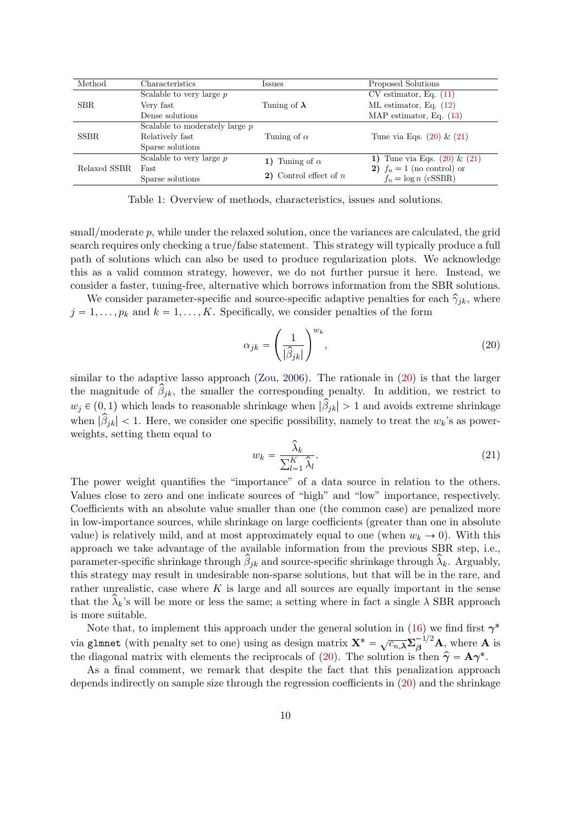| Method       | Characteristics                | <i>ssues</i>             | Proposed Solutions               |  |  |
|--------------|--------------------------------|--------------------------|----------------------------------|--|--|
| SBR.         | Scalable to very large $p$     |                          | $CV$ estimator, Eq. $(11)$       |  |  |
|              | Very fast                      | Tuning of $\lambda$      | ML estimator, Eq. $(12)$         |  |  |
|              | Dense solutions                |                          | MAP estimator, Eq. $(13)$        |  |  |
| <b>SSBR</b>  | Scalable to moderately large p |                          |                                  |  |  |
|              | Relatively fast                | Tuning of $\alpha$       | Tune via Eqs. $(20)$ & $(21)$    |  |  |
|              | Sparse solutions               |                          |                                  |  |  |
| Relaxed SSBR | Scalable to very large $p$     | 1) Tuning of $\alpha$    | 1) Tune via Eqs. $(20)$ & $(21)$ |  |  |
|              | Fast                           |                          | 2) $f_n = 1$ (no control) or     |  |  |
|              | Sparse solutions               | 2) Control effect of $n$ | $f_n = \log n$ (cSSBR)           |  |  |

<span id="page-10-2"></span>Table 1: Overview of methods, characteristics, issues and solutions.

small/moderate p, while under the relaxed solution, once the variances are calculated, the grid search requires only checking a true/false statement. This strategy will typically produce a full path of solutions which can also be used to produce regularization plots. We acknowledge this as a valid common strategy, however, we do not further pursue it here. Instead, we consider a faster, tuning-free, alternative which borrows information from the SBR solutions.

We consider parameter-specific and source-specific adaptive penalties for each  $\hat{\gamma}_{ik}$ , where  $j = 1, \ldots, p_k$  and  $k = 1, \ldots, K$ . Specifically, we consider penalties of the form

<span id="page-10-0"></span>
$$
\alpha_{jk} = \left(\frac{1}{|\hat{\beta}_{jk}|}\right)^{w_k},\tag{20}
$$

similar to the adaptive lasso approach [\(Zou,](#page-23-6) [2006\)](#page-23-6). The rationale in [\(20\)](#page-10-0) is that the larger the magnitude of  $\beta_{jk}$ , the smaller the corresponding penalty. In addition, we restrict to  $w_j \in (0, 1)$  which leads to reasonable shrinkage when  $|\beta_{jk}| > 1$  and avoids extreme shrinkage when  $|\beta_{jk}| < 1$ . Here, we consider one specific possibility, namely to treat the  $w_k$ 's as powerweights, setting them equal to

<span id="page-10-1"></span>
$$
w_k = \frac{\widehat{\lambda}_k}{\sum_{l=1}^K \widehat{\lambda}_l}.\tag{21}
$$

The power weight quantifies the "importance" of a data source in relation to the others. Values close to zero and one indicate sources of "high" and "low" importance, respectively. Coefficients with an absolute value smaller than one (the common case) are penalized more in low-importance sources, while shrinkage on large coefficients (greater than one in absolute value) is relatively mild, and at most approximately equal to one (when  $w_k \to 0$ ). With this approach we take advantage of the available information from the previous SBR step, i.e., parameter-specific shrinkage through  $\beta_{jk}$  and source-specific shrinkage through  $\lambda_k$ . Arguably, this strategy may result in undesirable non-sparse solutions, but that will be in the rare, and rather unrealistic, case where  $K$  is large and all sources are equally important in the sense that the  $\lambda_k$ 's will be more or less the same; a setting where in fact a single  $\lambda$  SBR approach is more suitable.

Note that, to implement this approach under the general solution in [\(16\)](#page-8-1) we find first  $\gamma^*$ via glmnet (with penalty set to one) using as design matrix  $\mathbf{X}^* = \sqrt{c_{n,\lambda}} \Sigma_{\beta}^{-1/2} \mathbf{A}$ , where **A** is the diagonal matrix with elements the reciprocals of [\(20\)](#page-10-0). The solution is then  $\hat{\gamma} = \mathbf{A}\gamma^*$ .

As a final comment, we remark that despite the fact that this penalization approach depends indirectly on sample size through the regression coefficients in [\(20\)](#page-10-0) and the shrinkage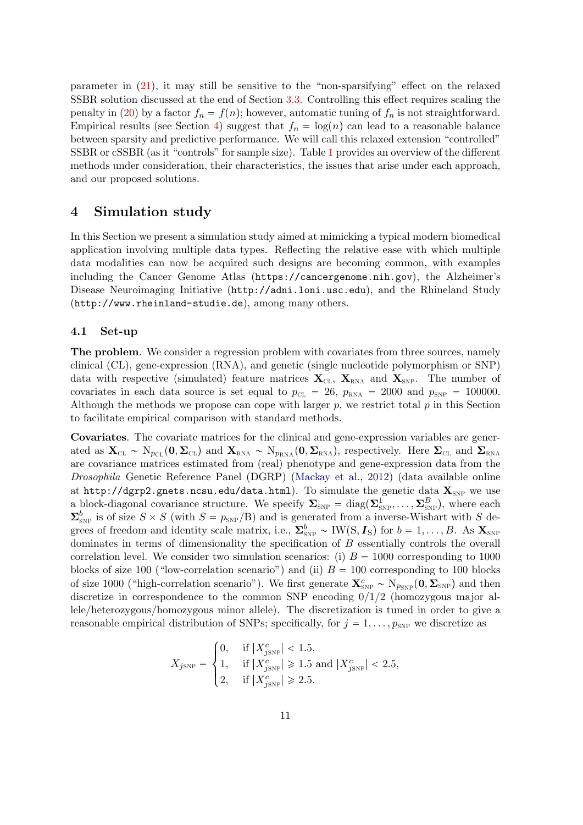parameter in [\(21\)](#page-10-1), it may still be sensitive to the "non-sparsifying" effect on the relaxed SSBR solution discussed at the end of Section [3.3.](#page-9-0) Controlling this effect requires scaling the penalty in [\(20\)](#page-10-0) by a factor  $f_n = f(n)$ ; however, automatic tuning of  $f_n$  is not straightforward. Empirical results (see Section [4\)](#page-11-0) suggest that  $f_n = \log(n)$  can lead to a reasonable balance between sparsity and predictive performance. We will call this relaxed extension "controlled" SSBR or cSSBR (as it "controls" for sample size). Table [1](#page-10-2) provides an overview of the different methods under consideration, their characteristics, the issues that arise under each approach, and our proposed solutions.

## <span id="page-11-0"></span>4 Simulation study

In this Section we present a simulation study aimed at mimicking a typical modern biomedical application involving multiple data types. Reflecting the relative ease with which multiple data modalities can now be acquired such designs are becoming common, with examples including the Cancer Genome Atlas (<https://cancergenome.nih.gov>), the Alzheimer's Disease Neuroimaging Initiative (<http://adni.loni.usc.edu>), and the Rhineland Study (<http://www.rheinland-studie.de>), among many others.

#### 4.1 Set-up

The problem. We consider a regression problem with covariates from three sources, namely clinical (CL), gene-expression (RNA), and genetic (single nucleotide polymorphism or SNP) data with respective (simulated) feature matrices  $\mathbf{X}_{\text{CL}}$ ,  $\mathbf{X}_{\text{RNA}}$  and  $\mathbf{X}_{\text{SNP}}$ . The number of covariates in each data source is set equal to  $p_{CL} = 26$ ,  $p_{RNA} = 2000$  and  $p_{SNP} = 100000$ . Although the methods we propose can cope with larger  $p$ , we restrict total  $p$  in this Section to facilitate empirical comparison with standard methods.

Covariates. The covariate matrices for the clinical and gene-expression variables are generated as  $\mathbf{X}_{\text{CL}} \sim N_{p_{\text{CL}}}(\mathbf{0}, \mathbf{\Sigma}_{\text{CL}})$  and  $\mathbf{X}_{\text{RNA}} \sim N_{p_{\text{RNA}}}(\mathbf{0}, \mathbf{\Sigma}_{\text{RNA}})$ , respectively. Here  $\mathbf{\Sigma}_{\text{CL}}$  and  $\mathbf{\Sigma}_{\text{RNA}}$ are covariance matrices estimated from (real) phenotype and gene-expression data from the Drosophila Genetic Reference Panel (DGRP) [\(Mackay et al.,](#page-22-11) [2012\)](#page-22-11) (data available online at <http://dgrp2.gnets.ncsu.edu/data.html>). To simulate the genetic data  $\mathbf{X}_{SNP}$  we use a block-diagonal covariance structure. We specify  $\Sigma_{SNP} = \text{diag}(\Sigma_{SNP}^1, \dots, \Sigma_{SNP}^B)$ , where each  $\Sigma_{\text{SNP}}^b$  is of size  $S \times S$  (with  $S = p_{\text{SNP}}/B$ ) and is generated from a inverse-Wishart with S degrees of freedom and identity scale matrix, i.e.,  $\Sigma_{SNP}^b \sim \text{IW}(S, I_S)$  for  $b = 1, ..., B$ . As  $\mathbf{X}_{SNP}$ dominates in terms of dimensionality the specification of B essentially controls the overall correlation level. We consider two simulation scenarios: (i)  $B = 1000$  corresponding to 1000 blocks of size 100 ("low-correlation scenario") and (ii)  $B = 100$  corresponding to 100 blocks of size 1000 ("high-correlation scenario"). We first generate  $\mathbf{X}_{SNP}^c \sim N_{p_{SNP}}(\mathbf{0}, \mathbf{\Sigma}_{SNP})$  and then discretize in correspondence to the common SNP encoding  $0/1/2$  (homozygous major allele/heterozygous/homozygous minor allele). The discretization is tuned in order to give a reasonable empirical distribution of SNPs; specifically, for  $j = 1, \ldots, p_{SNP}$  we discretize as

$$
X_{j{\scriptscriptstyle{\text{SNP}}}} = \begin{cases} 0, & \text{if}~|X^c_{j{\scriptscriptstyle{\text{SNP}}}}| < 1.5,\\ 1, & \text{if}~|X^c_{j{\scriptscriptstyle{\text{SNP}}}}| \geqslant 1.5 \text{ and } |X^c_{j{\scriptscriptstyle{\text{SNP}}}}| < 2.5,\\ 2, & \text{if}~|X^c_{j{\scriptscriptstyle{\text{SNP}}}}| \geqslant 2.5. \end{cases}
$$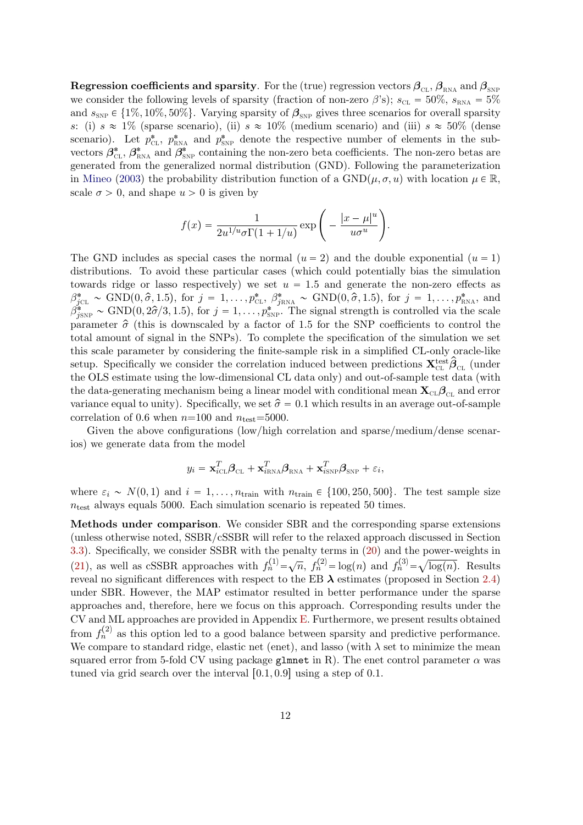**Regression coefficients and sparsity**. For the (true) regression vectors  $\beta_{CL}$ ,  $\beta_{RNA}$  and  $\beta_{SNP}$ we consider the following levels of sparsity (fraction of non-zero  $\beta$ 's);  $s_{CL} = 50\%$ ,  $s_{RNA} = 5\%$ and  $s_{SNP} \in \{1\%, 10\%, 50\% \}$ . Varying sparsity of  $\beta_{SNP}$  gives three scenarios for overall sparsity s: (i)  $s \approx 1\%$  (sparse scenario), (ii)  $s \approx 10\%$  (medium scenario) and (iii)  $s \approx 50\%$  (dense scenario). Let  $p_{\text{CL}}^*$ ,  $p_{\text{RNA}}^*$  and  $p_{\text{SNP}}^*$  denote the respective number of elements in the subvectors  $\beta_{\text{CL}}^*, \beta_{\text{RNA}}^*$  and  $\beta_{\text{SNP}}^*$  containing the non-zero beta coefficients. The non-zero betas are generated from the generalized normal distribution (GND). Following the parameterization in [Mineo](#page-22-12) [\(2003\)](#page-22-12) the probability distribution function of a  $GND(\mu, \sigma, u)$  with location  $\mu \in \mathbb{R}$ , scale  $\sigma > 0$ , and shape  $u > 0$  is given by

$$
f(x) = \frac{1}{2u^{1/u}\sigma\Gamma(1+1/u)} \exp\Bigg(-\frac{|x-\mu|^u}{u\sigma^u}\Bigg).
$$

The GND includes as special cases the normal  $(u = 2)$  and the double exponential  $(u = 1)$ distributions. To avoid these particular cases (which could potentially bias the simulation towards ridge or lasso respectively) we set  $u = 1.5$  and generate the non-zero effects as  $\beta_{\text{jet}}^* \sim \text{GND}(0, \hat{\sigma}, 1.5), \text{ for } j = 1, \ldots, p_{\text{CL}}^*, \beta_{j_{\text{RNA}}}^* \sim \text{GND}(0, \hat{\sigma}, 1.5), \text{ for } j = 1, \ldots, p_{\text{RNA}}^*$ , and  $\beta_{j_{\text{SNP}}}^* \sim \text{GND}(0, 2\hat{\sigma}/3, 1.5),$  for  $j = 1, \ldots, p_{\text{SNP}}^*$ . The signal strength is controlled via the scale parameter  $\hat{\sigma}$  (this is downscaled by a factor of 1.5 for the SNP coefficients to control the total amount of signal in the SNPs). To complete the specification of the simulation we set this scale parameter by considering the finite-sample risk in a simplified CL-only oracle-like setup. Specifically we consider the correlation induced between predictions  $\mathbf{X}_{\text{CL}}^{\text{test}} \hat{\boldsymbol{\beta}}_{\text{CL}}$  (under the OLS estimate using the low-dimensional CL data only) and out-of-sample test data (with the data-generating mechanism being a linear model with conditional mean  $X_{CL}$  $\beta_{CL}$  and error variance equal to unity). Specifically, we set  $\hat{\sigma} = 0.1$  which results in an average out-of-sample correlation of 0.6 when  $n=100$  and  $n_{\text{test}}=5000$ .

Given the above configurations (low/high correlation and sparse/medium/dense scenarios) we generate data from the model

$$
y_i = \mathbf{x}_{i\text{CL}}^T \boldsymbol{\beta}_{\text{CL}} + \mathbf{x}_{i\text{RNA}}^T \boldsymbol{\beta}_{\text{RNA}} + \mathbf{x}_{i\text{SNP}}^T \boldsymbol{\beta}_{\text{SNP}} + \varepsilon_i,
$$

where  $\varepsilon_i \sim N(0, 1)$  and  $i = 1, \ldots, n_{\text{train}}$  with  $n_{\text{train}} \in \{100, 250, 500\}$ . The test sample size  $n_{\text{test}}$  always equals 5000. Each simulation scenario is repeated 50 times.

Methods under comparison. We consider SBR and the corresponding sparse extensions (unless otherwise noted, SSBR/cSSBR will refer to the relaxed approach discussed in Section [3.3\)](#page-9-0). Specifically, we consider SSBR with the penalty terms in [\(20\)](#page-10-0) and the power-weights in [\(21\)](#page-10-1), as well as cSSBR approaches with  $f_n^{(1)} = \sqrt{n}$ ,  $f_n^{(2)} = \log(n)$  and  $f_n^{(3)} = \sqrt{\log(n)}$ . Results reveal no significant differences with respect to the EB  $\lambda$  estimates (proposed in Section [2.4\)](#page-6-3) under SBR. However, the MAP estimator resulted in better performance under the sparse approaches and, therefore, here we focus on this approach. Corresponding results under the CV and ML approaches are provided in Appendix [E.](#page-27-0) Furthermore, we present results obtained from  $f_n^{(2)}$  as this option led to a good balance between sparsity and predictive performance. We compare to standard ridge, elastic net (enet), and lasso (with  $\lambda$  set to minimize the mean squared error from 5-fold CV using package glmnet in R). The enet control parameter  $\alpha$  was tuned via grid search over the interval  $[0.1, 0.9]$  using a step of 0.1.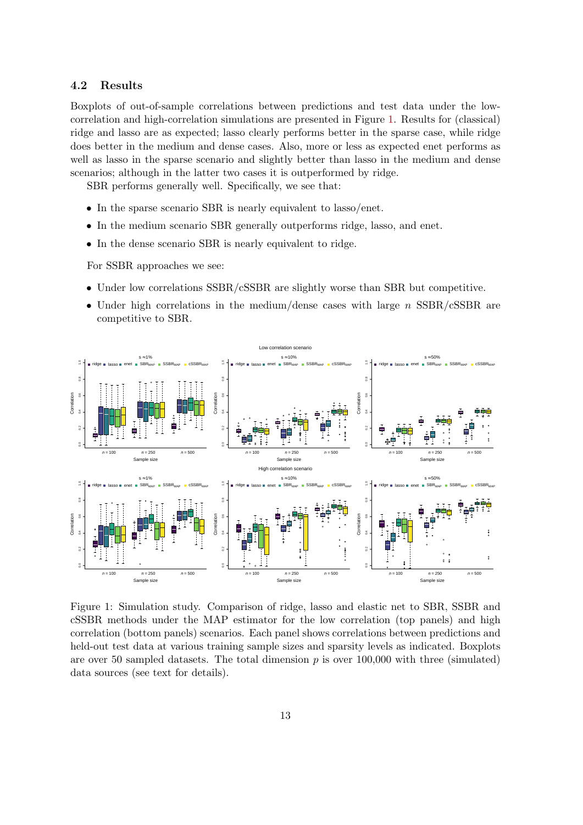#### 4.2 Results

Boxplots of out-of-sample correlations between predictions and test data under the lowcorrelation and high-correlation simulations are presented in Figure [1.](#page-13-0) Results for (classical) ridge and lasso are as expected; lasso clearly performs better in the sparse case, while ridge does better in the medium and dense cases. Also, more or less as expected enet performs as well as lasso in the sparse scenario and slightly better than lasso in the medium and dense scenarios; although in the latter two cases it is outperformed by ridge.

SBR performs generally well. Specifically, we see that:

- In the sparse scenario SBR is nearly equivalent to lasso/enet.
- In the medium scenario SBR generally outperforms ridge, lasso, and enet.
- In the dense scenario SBR is nearly equivalent to ridge.

For SSBR approaches we see:

- Under low correlations SSBR/cSSBR are slightly worse than SBR but competitive.
- Under high correlations in the medium/dense cases with large n SSBR/cSSBR are competitive to SBR.



<span id="page-13-0"></span>Figure 1: Simulation study. Comparison of ridge, lasso and elastic net to SBR, SSBR and cSSBR methods under the MAP estimator for the low correlation (top panels) and high correlation (bottom panels) scenarios. Each panel shows correlations between predictions and held-out test data at various training sample sizes and sparsity levels as indicated. Boxplots are over 50 sampled datasets. The total dimension  $p$  is over 100,000 with three (simulated) data sources (see text for details).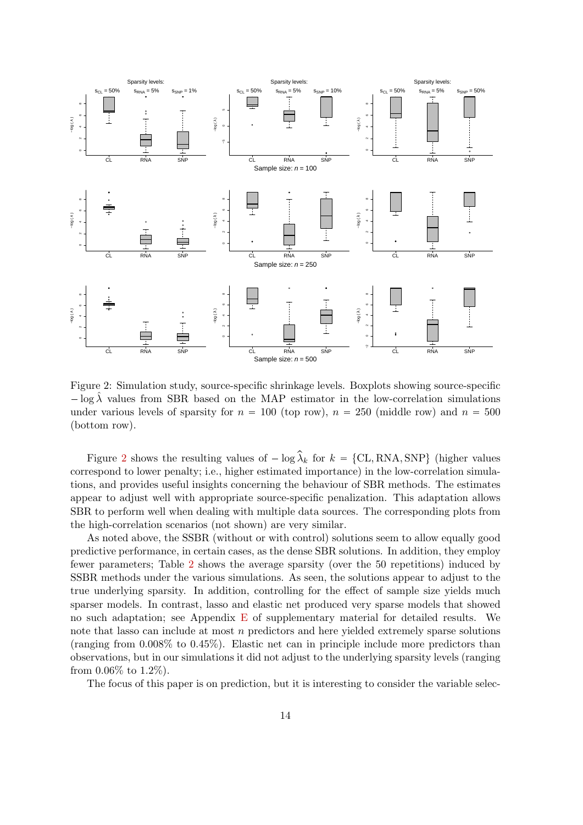

<span id="page-14-0"></span>Figure 2: Simulation study, source-specific shrinkage levels. Boxplots showing source-specific  $-\log \lambda$  values from SBR based on the MAP estimator in the low-correlation simulations under various levels of sparsity for  $n = 100$  (top row),  $n = 250$  (middle row) and  $n = 500$ (bottom row).

Figure [2](#page-14-0) shows the resulting values of  $-\log \lambda_k$  for  $k = \{CL, RNA, SNP\}$  (higher values correspond to lower penalty; i.e., higher estimated importance) in the low-correlation simulations, and provides useful insights concerning the behaviour of SBR methods. The estimates appear to adjust well with appropriate source-specific penalization. This adaptation allows SBR to perform well when dealing with multiple data sources. The corresponding plots from the high-correlation scenarios (not shown) are very similar.

As noted above, the SSBR (without or with control) solutions seem to allow equally good predictive performance, in certain cases, as the dense SBR solutions. In addition, they employ fewer parameters; Table [2](#page-15-0) shows the average sparsity (over the 50 repetitions) induced by SSBR methods under the various simulations. As seen, the solutions appear to adjust to the true underlying sparsity. In addition, controlling for the effect of sample size yields much sparser models. In contrast, lasso and elastic net produced very sparse models that showed no such adaptation; see Appendix  $E$  of supplementary material for detailed results. We note that lasso can include at most  $n$  predictors and here yielded extremely sparse solutions (ranging from 0.008% to 0.45%). Elastic net can in principle include more predictors than observations, but in our simulations it did not adjust to the underlying sparsity levels (ranging from  $0.06\%$  to  $1.2\%$ ).

The focus of this paper is on prediction, but it is interesting to consider the variable selec-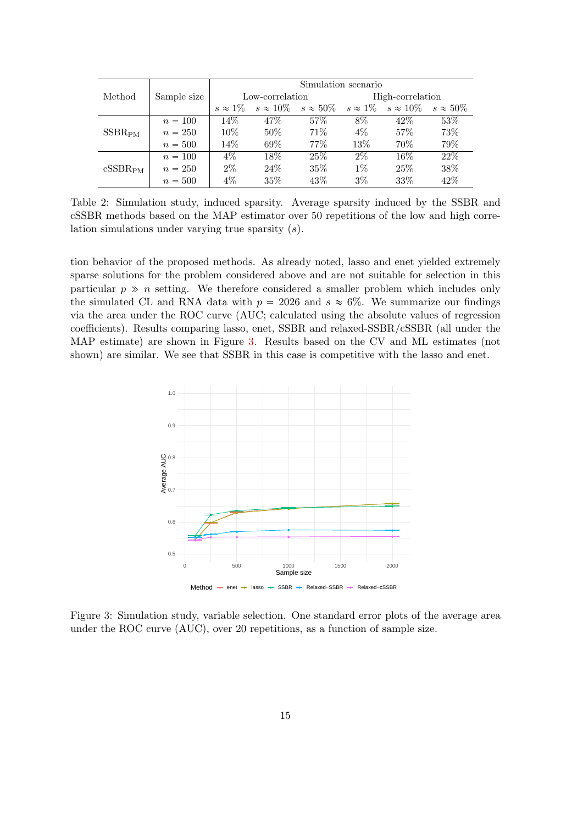|                     |             | Simulation scenario |                                                                                                     |        |                  |        |        |
|---------------------|-------------|---------------------|-----------------------------------------------------------------------------------------------------|--------|------------------|--------|--------|
| Method              | Sample size | Low-correlation     |                                                                                                     |        | High-correlation |        |        |
|                     |             |                     | $s \approx 1\%$ $s \approx 10\%$ $s \approx 50\%$ $s \approx 1\%$ $s \approx 10\%$ $s \approx 50\%$ |        |                  |        |        |
| SSBR <sub>PM</sub>  | $n = 100$   | $14\%$              | 47\%                                                                                                | 57\%   | 8%               | $42\%$ | $53\%$ |
|                     | $n = 250$   | 10%                 | $50\%$                                                                                              | 71\%   | $4\%$            | 57%    | 73%    |
|                     | $n = 500$   | 14\%                | $69\%$                                                                                              | $77\%$ | 13\%             | 70%    | 79%    |
| cSSBR <sub>PM</sub> | $n = 100$   | $4\%$               | 18\%                                                                                                | $25\%$ | $2\%$            | $16\%$ | $22\%$ |
|                     | $n = 250$   | $2\%$               | 24\%                                                                                                | $35\%$ | $1\%$            | 25\%   | 38\%   |
|                     | $n = 500$   | $4\%$               | 35%                                                                                                 | 43\%   | $3\%$            | 33\%   | 42\%   |

<span id="page-15-0"></span>Table 2: Simulation study, induced sparsity. Average sparsity induced by the SSBR and cSSBR methods based on the MAP estimator over 50 repetitions of the low and high correlation simulations under varying true sparsity (s).

tion behavior of the proposed methods. As already noted, lasso and enet yielded extremely sparse solutions for the problem considered above and are not suitable for selection in this particular  $p \gg n$  setting. We therefore considered a smaller problem which includes only the simulated CL and RNA data with  $p = 2026$  and  $s \approx 6\%$ . We summarize our findings via the area under the ROC curve (AUC; calculated using the absolute values of regression coefficients). Results comparing lasso, enet, SSBR and relaxed-SSBR/cSSBR (all under the MAP estimate) are shown in Figure [3.](#page-15-1) Results based on the CV and ML estimates (not shown) are similar. We see that SSBR in this case is competitive with the lasso and enet.



<span id="page-15-1"></span>Figure 3: Simulation study, variable selection. One standard error plots of the average area under the ROC curve (AUC), over 20 repetitions, as a function of sample size.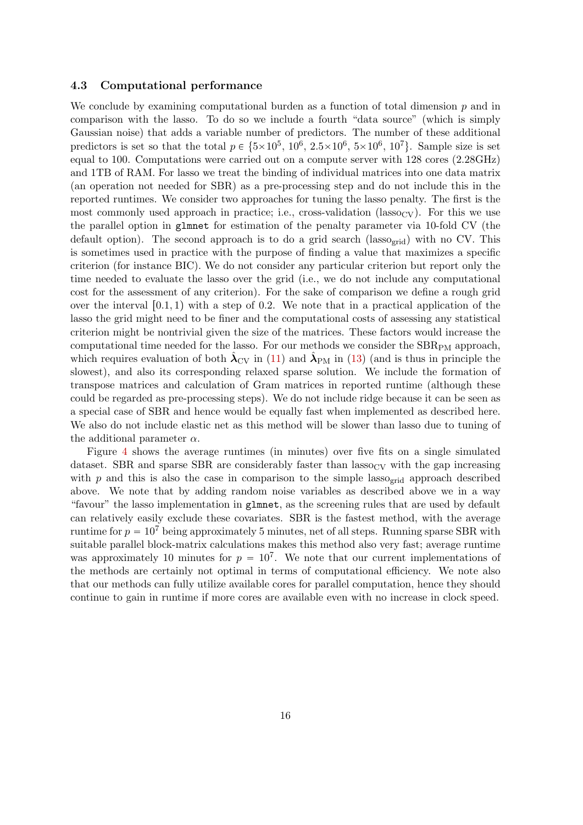#### 4.3 Computational performance

We conclude by examining computational burden as a function of total dimension  $p$  and in comparison with the lasso. To do so we include a fourth "data source" (which is simply Gaussian noise) that adds a variable number of predictors. The number of these additional predictors is set so that the total  $p \in \{5 \times 10^5, 10^6, 2.5 \times 10^6, 5 \times 10^6, 10^7\}$ . Sample size is set equal to 100. Computations were carried out on a compute server with 128 cores (2.28GHz) and 1TB of RAM. For lasso we treat the binding of individual matrices into one data matrix (an operation not needed for SBR) as a pre-processing step and do not include this in the reported runtimes. We consider two approaches for tuning the lasso penalty. The first is the most commonly used approach in practice; i.e., cross-validation (lasso<sub>CV</sub>). For this we use the parallel option in glmnet for estimation of the penalty parameter via 10-fold CV (the default option). The second approach is to do a grid search (lasso<sub>grid</sub>) with no CV. This is sometimes used in practice with the purpose of finding a value that maximizes a specific criterion (for instance BIC). We do not consider any particular criterion but report only the time needed to evaluate the lasso over the grid (i.e., we do not include any computational cost for the assessment of any criterion). For the sake of comparison we define a rough grid over the interval  $[0.1, 1)$  with a step of 0.2. We note that in a practical application of the lasso the grid might need to be finer and the computational costs of assessing any statistical criterion might be nontrivial given the size of the matrices. These factors would increase the computational time needed for the lasso. For our methods we consider the  $SBR_{PM}$  approach, which requires evaluation of both  $\hat{\lambda}_{\text{CV}}$  in [\(11\)](#page-6-0) and  $\hat{\lambda}_{\text{PM}}$  in [\(13\)](#page-6-2) (and is thus in principle the slowest), and also its corresponding relaxed sparse solution. We include the formation of transpose matrices and calculation of Gram matrices in reported runtime (although these could be regarded as pre-processing steps). We do not include ridge because it can be seen as a special case of SBR and hence would be equally fast when implemented as described here. We also do not include elastic net as this method will be slower than lasso due to tuning of the additional parameter  $\alpha$ .

Figure [4](#page-17-1) shows the average runtimes (in minutes) over five fits on a single simulated dataset. SBR and sparse SBR are considerably faster than  $lasso_{CV}$  with the gap increasing with  $p$  and this is also the case in comparison to the simple lasso<sub>grid</sub> approach described above. We note that by adding random noise variables as described above we in a way "favour" the lasso implementation in glmnet, as the screening rules that are used by default can relatively easily exclude these covariates. SBR is the fastest method, with the average runtime for  $p = 10^7$  being approximately 5 minutes, net of all steps. Running sparse SBR with suitable parallel block-matrix calculations makes this method also very fast; average runtime was approximately 10 minutes for  $p = 10^7$ . We note that our current implementations of the methods are certainly not optimal in terms of computational efficiency. We note also that our methods can fully utilize available cores for parallel computation, hence they should continue to gain in runtime if more cores are available even with no increase in clock speed.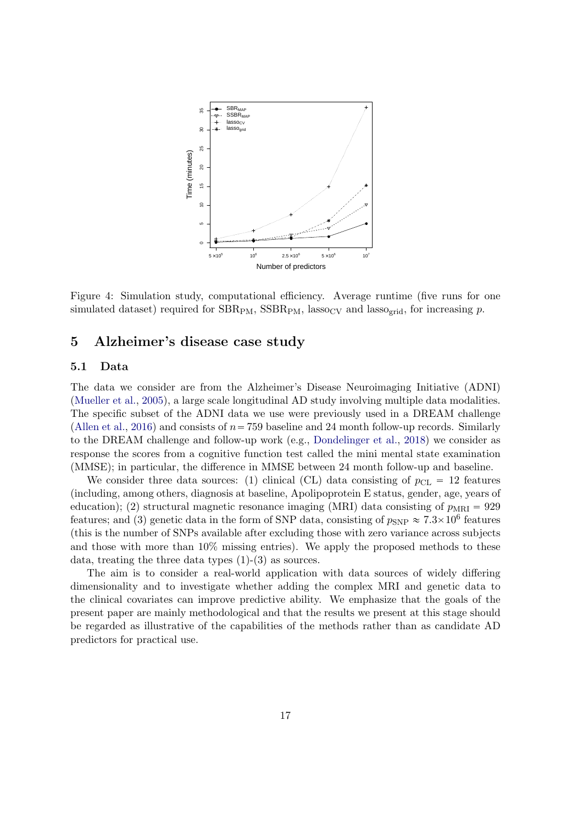

<span id="page-17-1"></span>Figure 4: Simulation study, computational efficiency. Average runtime (five runs for one simulated dataset) required for  $SBR_{PM}$ ,  $SSBR_{PM}$ , lasso<sub>CV</sub> and lasso<sub>grid</sub>, for increasing p.

## <span id="page-17-0"></span>5 Alzheimer's disease case study

#### 5.1 Data

The data we consider are from the Alzheimer's Disease Neuroimaging Initiative (ADNI) [\(Mueller et al.,](#page-22-6) [2005\)](#page-22-6), a large scale longitudinal AD study involving multiple data modalities. The specific subset of the ADNI data we use were previously used in a DREAM challenge [\(Allen et al.,](#page-21-10) [2016\)](#page-21-10) and consists of  $n=759$  baseline and 24 month follow-up records. Similarly to the DREAM challenge and follow-up work (e.g., [Dondelinger et al.,](#page-21-3) [2018\)](#page-21-3) we consider as response the scores from a cognitive function test called the mini mental state examination (MMSE); in particular, the difference in MMSE between 24 month follow-up and baseline.

We consider three data sources: (1) clinical (CL) data consisting of  $p_{\text{CL}} = 12$  features (including, among others, diagnosis at baseline, Apolipoprotein E status, gender, age, years of education); (2) structural magnetic resonance imaging (MRI) data consisting of  $p_{\text{MRI}} = 929$ features; and (3) genetic data in the form of SNP data, consisting of  $p_{\text{SNP}} \approx 7.3 \times 10^6$  features (this is the number of SNPs available after excluding those with zero variance across subjects and those with more than  $10\%$  missing entries). We apply the proposed methods to these data, treating the three data types (1)-(3) as sources.

The aim is to consider a real-world application with data sources of widely differing dimensionality and to investigate whether adding the complex MRI and genetic data to the clinical covariates can improve predictive ability. We emphasize that the goals of the present paper are mainly methodological and that the results we present at this stage should be regarded as illustrative of the capabilities of the methods rather than as candidate AD predictors for practical use.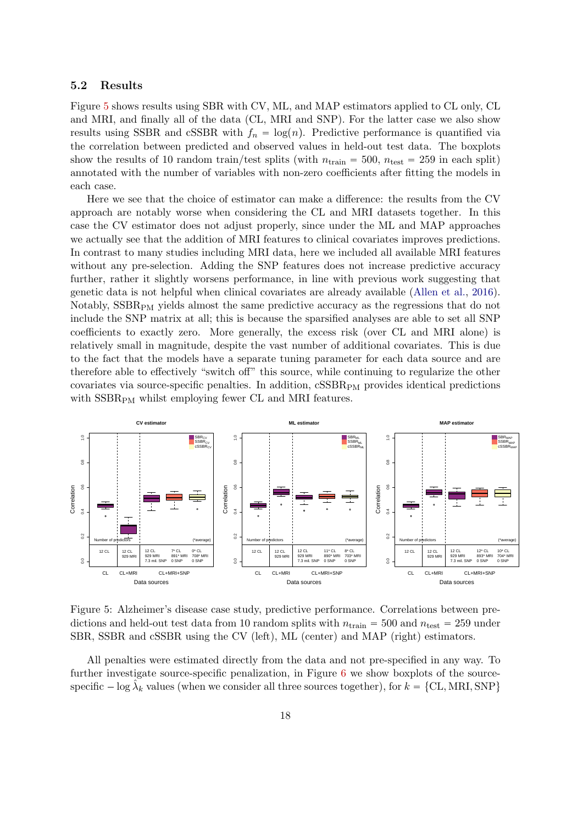#### 5.2 Results

Figure [5](#page-18-0) shows results using SBR with CV, ML, and MAP estimators applied to CL only, CL and MRI, and finally all of the data (CL, MRI and SNP). For the latter case we also show results using SSBR and cSSBR with  $f_n = \log(n)$ . Predictive performance is quantified via the correlation between predicted and observed values in held-out test data. The boxplots show the results of 10 random train/test splits (with  $n_{\text{train}} = 500$ ,  $n_{\text{test}} = 259$  in each split) annotated with the number of variables with non-zero coefficients after fitting the models in each case.

Here we see that the choice of estimator can make a difference: the results from the CV approach are notably worse when considering the CL and MRI datasets together. In this case the CV estimator does not adjust properly, since under the ML and MAP approaches we actually see that the addition of MRI features to clinical covariates improves predictions. In contrast to many studies including MRI data, here we included all available MRI features without any pre-selection. Adding the SNP features does not increase predictive accuracy further, rather it slightly worsens performance, in line with previous work suggesting that genetic data is not helpful when clinical covariates are already available [\(Allen et al.,](#page-21-10) [2016\)](#page-21-10). Notably,  $SSBR<sub>PM</sub>$  yields almost the same predictive accuracy as the regressions that do not include the SNP matrix at all; this is because the sparsified analyses are able to set all SNP coefficients to exactly zero. More generally, the excess risk (over CL and MRI alone) is relatively small in magnitude, despite the vast number of additional covariates. This is due to the fact that the models have a separate tuning parameter for each data source and are therefore able to effectively "switch off" this source, while continuing to regularize the other covariates via source-specific penalties. In addition,  $\text{cSSBR}_{\text{PM}}$  provides identical predictions with  $SSBR<sub>PM</sub>$  whilst employing fewer CL and MRI features.



<span id="page-18-0"></span>Figure 5: Alzheimer's disease case study, predictive performance. Correlations between predictions and held-out test data from 10 random splits with  $n_{\text{train}} = 500$  and  $n_{\text{test}} = 259$  under SBR, SSBR and cSSBR using the CV (left), ML (center) and MAP (right) estimators.

All penalties were estimated directly from the data and not pre-specified in any way. To further investigate source-specific penalization, in Figure [6](#page-19-1) we show boxplots of the sourcespecific  $-\log \hat{\lambda}_k$  values (when we consider all three sources together), for  $k = \{CL, MRI, SNP\}$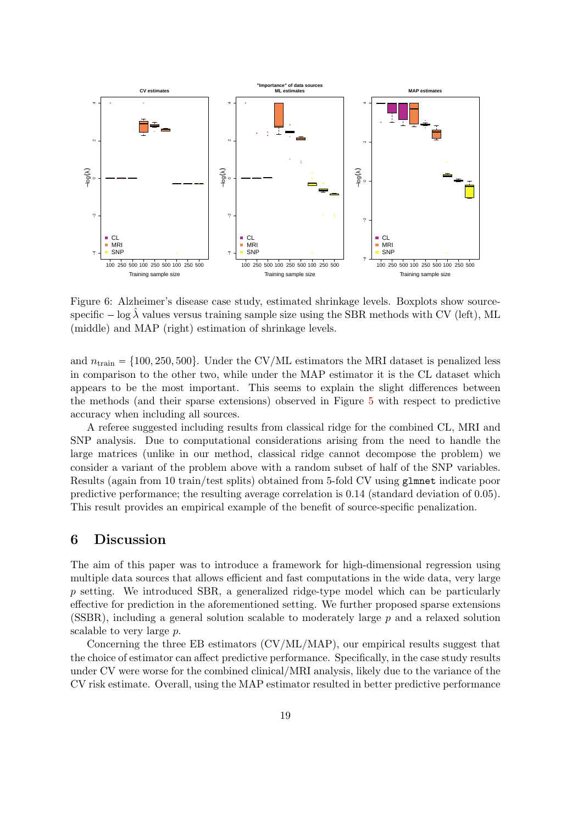

<span id="page-19-1"></span>Figure 6: Alzheimer's disease case study, estimated shrinkage levels. Boxplots show sourcespecific  $-\log \hat{\lambda}$  values versus training sample size using the SBR methods with CV (left), ML (middle) and MAP (right) estimation of shrinkage levels.

and  $n_{\text{train}} = \{100, 250, 500\}$ . Under the CV/ML estimators the MRI dataset is penalized less in comparison to the other two, while under the MAP estimator it is the CL dataset which appears to be the most important. This seems to explain the slight differences between the methods (and their sparse extensions) observed in Figure [5](#page-18-0) with respect to predictive accuracy when including all sources.

A referee suggested including results from classical ridge for the combined CL, MRI and SNP analysis. Due to computational considerations arising from the need to handle the large matrices (unlike in our method, classical ridge cannot decompose the problem) we consider a variant of the problem above with a random subset of half of the SNP variables. Results (again from 10 train/test splits) obtained from 5-fold CV using glmnet indicate poor predictive performance; the resulting average correlation is 0.14 (standard deviation of 0.05). This result provides an empirical example of the benefit of source-specific penalization.

## <span id="page-19-0"></span>6 Discussion

The aim of this paper was to introduce a framework for high-dimensional regression using multiple data sources that allows efficient and fast computations in the wide data, very large p setting. We introduced SBR, a generalized ridge-type model which can be particularly effective for prediction in the aforementioned setting. We further proposed sparse extensions (SSBR), including a general solution scalable to moderately large p and a relaxed solution scalable to very large p.

Concerning the three EB estimators (CV/ML/MAP), our empirical results suggest that the choice of estimator can affect predictive performance. Specifically, in the case study results under CV were worse for the combined clinical/MRI analysis, likely due to the variance of the CV risk estimate. Overall, using the MAP estimator resulted in better predictive performance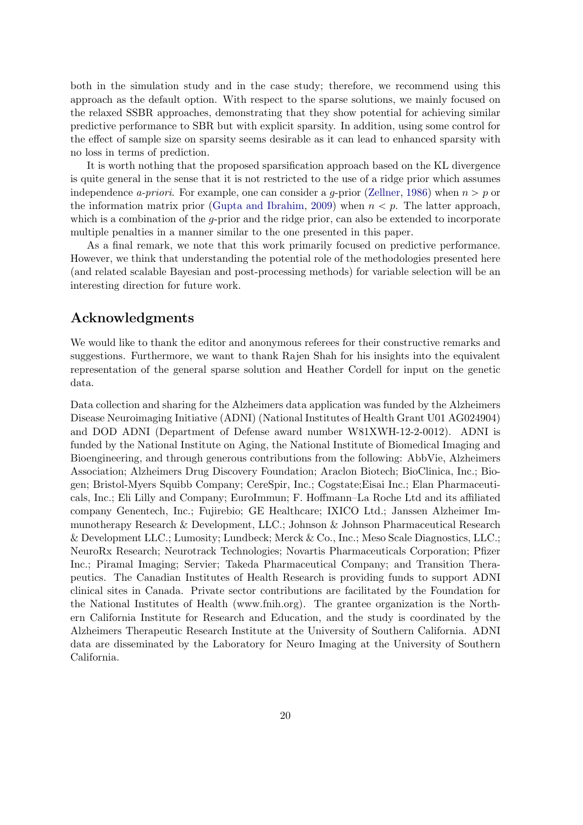both in the simulation study and in the case study; therefore, we recommend using this approach as the default option. With respect to the sparse solutions, we mainly focused on the relaxed SSBR approaches, demonstrating that they show potential for achieving similar predictive performance to SBR but with explicit sparsity. In addition, using some control for the effect of sample size on sparsity seems desirable as it can lead to enhanced sparsity with no loss in terms of prediction.

It is worth nothing that the proposed sparsification approach based on the KL divergence is quite general in the sense that it is not restricted to the use of a ridge prior which assumes independence a-priori. For example, one can consider a g-prior [\(Zellner,](#page-23-7) [1986\)](#page-23-7) when  $n > p$  or the information matrix prior [\(Gupta and Ibrahim,](#page-22-13) [2009\)](#page-22-13) when  $n < p$ . The latter approach, which is a combination of the  $q$ -prior and the ridge prior, can also be extended to incorporate multiple penalties in a manner similar to the one presented in this paper.

As a final remark, we note that this work primarily focused on predictive performance. However, we think that understanding the potential role of the methodologies presented here (and related scalable Bayesian and post-processing methods) for variable selection will be an interesting direction for future work.

## Acknowledgments

We would like to thank the editor and anonymous referees for their constructive remarks and suggestions. Furthermore, we want to thank Rajen Shah for his insights into the equivalent representation of the general sparse solution and Heather Cordell for input on the genetic data.

Data collection and sharing for the Alzheimers data application was funded by the Alzheimers Disease Neuroimaging Initiative (ADNI) (National Institutes of Health Grant U01 AG024904) and DOD ADNI (Department of Defense award number W81XWH-12-2-0012). ADNI is funded by the National Institute on Aging, the National Institute of Biomedical Imaging and Bioengineering, and through generous contributions from the following: AbbVie, Alzheimers Association; Alzheimers Drug Discovery Foundation; Araclon Biotech; BioClinica, Inc.; Biogen; Bristol-Myers Squibb Company; CereSpir, Inc.; Cogstate;Eisai Inc.; Elan Pharmaceuticals, Inc.; Eli Lilly and Company; EuroImmun; F. Hoffmann–La Roche Ltd and its affiliated company Genentech, Inc.; Fujirebio; GE Healthcare; IXICO Ltd.; Janssen Alzheimer Immunotherapy Research & Development, LLC.; Johnson & Johnson Pharmaceutical Research & Development LLC.; Lumosity; Lundbeck; Merck & Co., Inc.; Meso Scale Diagnostics, LLC.; NeuroRx Research; Neurotrack Technologies; Novartis Pharmaceuticals Corporation; Pfizer Inc.; Piramal Imaging; Servier; Takeda Pharmaceutical Company; and Transition Therapeutics. The Canadian Institutes of Health Research is providing funds to support ADNI clinical sites in Canada. Private sector contributions are facilitated by the Foundation for the National Institutes of Health (www.fnih.org). The grantee organization is the Northern California Institute for Research and Education, and the study is coordinated by the Alzheimers Therapeutic Research Institute at the University of Southern California. ADNI data are disseminated by the Laboratory for Neuro Imaging at the University of Southern California.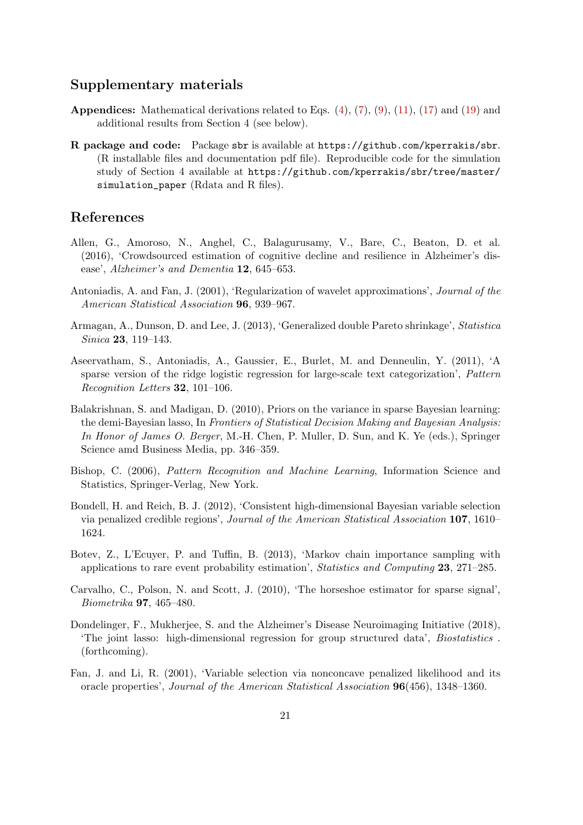## Supplementary materials

- **Appendices:** Mathematical derivations related to Eqs.  $(4)$ ,  $(7)$ ,  $(9)$ ,  $(11)$ ,  $(17)$  and  $(19)$  and additional results from Section 4 (see below).
- R package and code: Package sbr is available at <https://github.com/kperrakis/sbr>. (R installable files and documentation pdf file). Reproducible code for the simulation study of Section 4 available at [https://github.com/kperrakis/sbr/tree/master/](https://github.com/kperrakis/sbr/tree/master/simulation_paper) [simulation\\_paper](https://github.com/kperrakis/sbr/tree/master/simulation_paper) (Rdata and R files).

## References

- <span id="page-21-10"></span>Allen, G., Amoroso, N., Anghel, C., Balagurusamy, V., Bare, C., Beaton, D. et al. (2016), 'Crowdsourced estimation of cognitive decline and resilience in Alzheimer's disease', Alzheimer's and Dementia 12, 645–653.
- <span id="page-21-6"></span>Antoniadis, A. and Fan, J. (2001), 'Regularization of wavelet approximations', Journal of the American Statistical Association 96, 939–967.
- <span id="page-21-2"></span>Armagan, A., Dunson, D. and Lee, J. (2013), 'Generalized double Pareto shrinkage', Statistica Sinica 23, 119–143.
- <span id="page-21-7"></span>Aseervatham, S., Antoniadis, A., Gaussier, E., Burlet, M. and Denneulin, Y. (2011), 'A sparse version of the ridge logistic regression for large-scale text categorization', Pattern Recognition Letters 32, 101–106.
- <span id="page-21-5"></span>Balakrishnan, S. and Madigan, D. (2010), Priors on the variance in sparse Bayesian learning: the demi-Bayesian lasso, In Frontiers of Statistical Decision Making and Bayesian Analysis: In Honor of James O. Berger, M.-H. Chen, P. Muller, D. Sun, and K. Ye (eds.), Springer Science amd Business Media, pp. 346–359.
- <span id="page-21-9"></span>Bishop, C. (2006), Pattern Recognition and Machine Learning, Information Science and Statistics, Springer-Verlag, New York.
- <span id="page-21-4"></span>Bondell, H. and Reich, B. J. (2012), 'Consistent high-dimensional Bayesian variable selection via penalized credible regions', Journal of the American Statistical Association 107, 1610– 1624.
- <span id="page-21-8"></span>Botev, Z., L'Ecuyer, P. and Tuffin, B. (2013), 'Markov chain importance sampling with applications to rare event probability estimation', Statistics and Computing 23, 271–285.
- <span id="page-21-1"></span>Carvalho, C., Polson, N. and Scott, J. (2010), 'The horseshoe estimator for sparse signal', Biometrika 97, 465–480.
- <span id="page-21-3"></span>Dondelinger, F., Mukherjee, S. and the Alzheimer's Disease Neuroimaging Initiative (2018), 'The joint lasso: high-dimensional regression for group structured data', Biostatistics . (forthcoming).
- <span id="page-21-0"></span>Fan, J. and Li, R. (2001), 'Variable selection via nonconcave penalized likelihood and its oracle properties', Journal of the American Statistical Association 96(456), 1348–1360.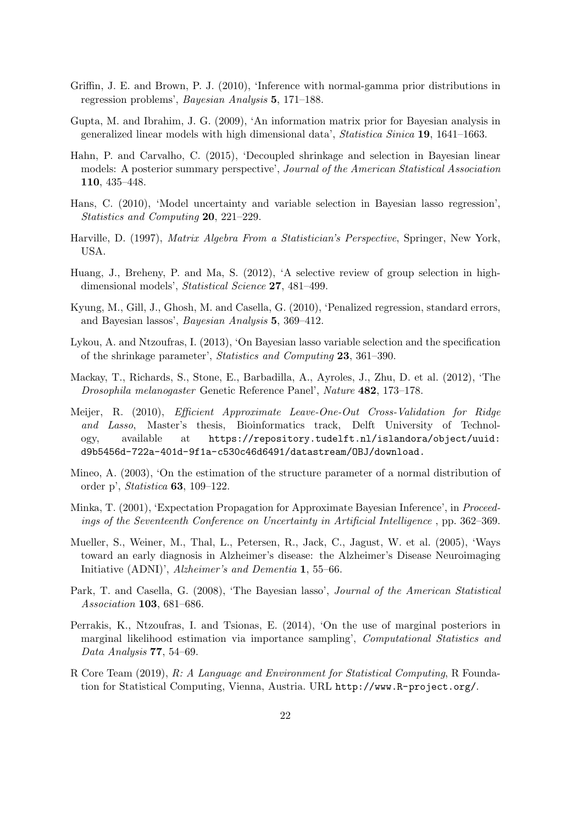- <span id="page-22-3"></span>Griffin, J. E. and Brown, P. J. (2010), 'Inference with normal-gamma prior distributions in regression problems', Bayesian Analysis 5, 171–188.
- <span id="page-22-13"></span>Gupta, M. and Ibrahim, J. G. (2009), 'An information matrix prior for Bayesian analysis in generalized linear models with high dimensional data', Statistica Sinica 19, 1641–1663.
- <span id="page-22-5"></span>Hahn, P. and Carvalho, C. (2015), 'Decoupled shrinkage and selection in Bayesian linear models: A posterior summary perspective', Journal of the American Statistical Association 110, 435–448.
- <span id="page-22-2"></span>Hans, C. (2010), 'Model uncertainty and variable selection in Bayesian lasso regression', Statistics and Computing 20, 221–229.
- <span id="page-22-14"></span>Harville, D. (1997), Matrix Algebra From a Statistician's Perspective, Springer, New York, USA.
- <span id="page-22-4"></span>Huang, J., Breheny, P. and Ma, S. (2012), 'A selective review of group selection in highdimensional models', Statistical Science 27, 481–499.
- <span id="page-22-0"></span>Kyung, M., Gill, J., Ghosh, M. and Casella, G. (2010), 'Penalized regression, standard errors, and Bayesian lassos', Bayesian Analysis 5, 369–412.
- <span id="page-22-7"></span>Lykou, A. and Ntzoufras, I. (2013), 'On Bayesian lasso variable selection and the specification of the shrinkage parameter', Statistics and Computing 23, 361–390.
- <span id="page-22-11"></span>Mackay, T., Richards, S., Stone, E., Barbadilla, A., Ayroles, J., Zhu, D. et al. (2012), 'The Drosophila melanogaster Genetic Reference Panel', Nature 482, 173–178.
- <span id="page-22-15"></span>Meijer, R. (2010), Efficient Approximate Leave-One-Out Cross-Validation for Ridge and Lasso, Master's thesis, Bioinformatics track, Delft University of Technology, available at [https://repository.tudelft.nl/islandora/object/uuid:](https://repository.tudelft.nl/islandora/object/uuid:d9b5456d-722a-401d-9f1a-c530c46d6491/datastream/OBJ/download.) [d9b5456d-722a-401d-9f1a-c530c46d6491/datastream/OBJ/download.](https://repository.tudelft.nl/islandora/object/uuid:d9b5456d-722a-401d-9f1a-c530c46d6491/datastream/OBJ/download.)
- <span id="page-22-12"></span>Mineo, A. (2003), 'On the estimation of the structure parameter of a normal distribution of order p', Statistica 63, 109–122.
- <span id="page-22-10"></span>Minka, T. (2001), 'Expectation Propagation for Approximate Bayesian Inference', in Proceedings of the Seventeenth Conference on Uncertainty in Artificial Intelligence , pp. 362–369.
- <span id="page-22-6"></span>Mueller, S., Weiner, M., Thal, L., Petersen, R., Jack, C., Jagust, W. et al. (2005), 'Ways toward an early diagnosis in Alzheimer's disease: the Alzheimer's Disease Neuroimaging Initiative (ADNI)', Alzheimer's and Dementia 1, 55–66.
- <span id="page-22-1"></span>Park, T. and Casella, G. (2008), 'The Bayesian lasso', Journal of the American Statistical Association 103, 681–686.
- <span id="page-22-9"></span>Perrakis, K., Ntzoufras, I. and Tsionas, E. (2014), 'On the use of marginal posteriors in marginal likelihood estimation via importance sampling', Computational Statistics and Data Analysis **77**, 54–69.
- <span id="page-22-8"></span>R Core Team (2019), R: A Language and Environment for Statistical Computing, R Foundation for Statistical Computing, Vienna, Austria. URL <http://www.R-project.org/>.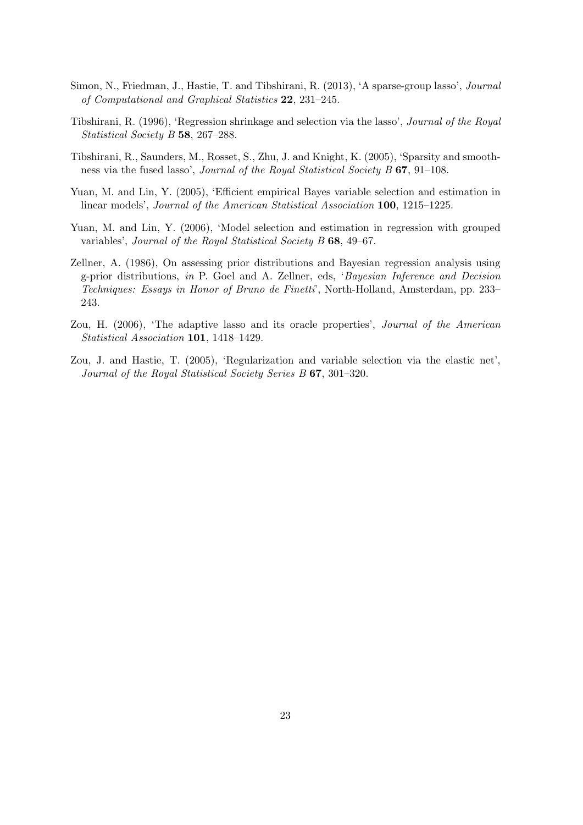- <span id="page-23-5"></span>Simon, N., Friedman, J., Hastie, T. and Tibshirani, R. (2013), 'A sparse-group lasso', Journal of Computational and Graphical Statistics 22, 231–245.
- <span id="page-23-0"></span>Tibshirani, R. (1996), 'Regression shrinkage and selection via the lasso', Journal of the Royal Statistical Society B 58, 267–288.
- <span id="page-23-1"></span>Tibshirani, R., Saunders, M., Rosset, S., Zhu, J. and Knight, K. (2005), 'Sparsity and smoothness via the fused lasso', Journal of the Royal Statistical Society B 67, 91–108.
- <span id="page-23-4"></span>Yuan, M. and Lin, Y. (2005), 'Efficient empirical Bayes variable selection and estimation in linear models', Journal of the American Statistical Association 100, 1215–1225.
- <span id="page-23-2"></span>Yuan, M. and Lin, Y. (2006), 'Model selection and estimation in regression with grouped variables', Journal of the Royal Statistical Society B 68, 49–67.
- <span id="page-23-7"></span>Zellner, A. (1986), On assessing prior distributions and Bayesian regression analysis using g-prior distributions, in P. Goel and A. Zellner, eds, 'Bayesian Inference and Decision Techniques: Essays in Honor of Bruno de Finetti', North-Holland, Amsterdam, pp. 233– 243.
- <span id="page-23-6"></span>Zou, H. (2006), 'The adaptive lasso and its oracle properties', Journal of the American Statistical Association 101, 1418–1429.
- <span id="page-23-3"></span>Zou, J. and Hastie, T. (2005), 'Regularization and variable selection via the elastic net', Journal of the Royal Statistical Society Series B 67, 301–320.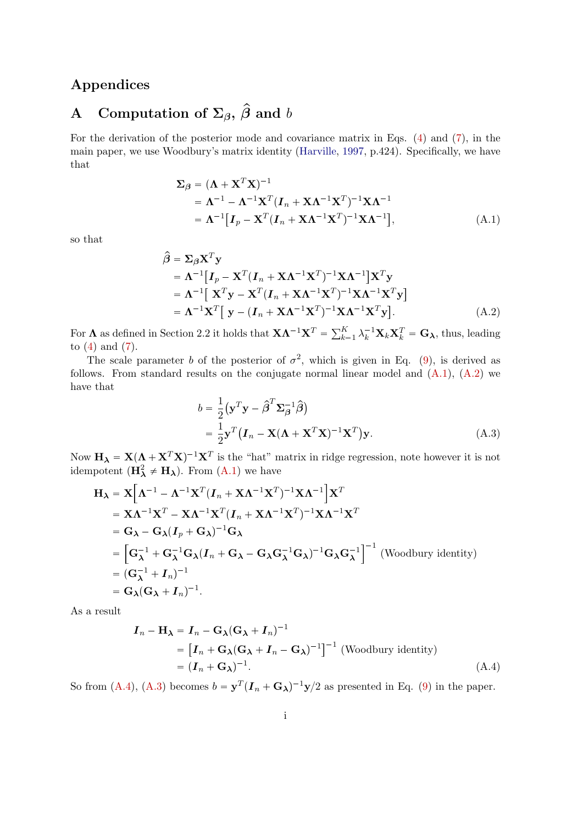## Appendices

# <span id="page-24-0"></span>A Computation of  $\Sigma_{\beta}$ ,  $\hat{\beta}$  and b

For the derivation of the posterior mode and covariance matrix in Eqs. [\(4\)](#page-4-1) and [\(7\)](#page-5-0), in the main paper, we use Woodbury's matrix identity [\(Harville,](#page-22-14) [1997,](#page-22-14) p.424). Specifically, we have that

<span id="page-24-1"></span>
$$
\Sigma_{\beta} = (\mathbf{\Lambda} + \mathbf{X}^{T} \mathbf{X})^{-1}
$$
  
=  $\mathbf{\Lambda}^{-1} - \mathbf{\Lambda}^{-1} \mathbf{X}^{T} (\mathbf{I}_{n} + \mathbf{X} \mathbf{\Lambda}^{-1} \mathbf{X}^{T})^{-1} \mathbf{X} \mathbf{\Lambda}^{-1}$   
=  $\mathbf{\Lambda}^{-1} [\mathbf{I}_{p} - \mathbf{X}^{T} (\mathbf{I}_{n} + \mathbf{X} \mathbf{\Lambda}^{-1} \mathbf{X}^{T})^{-1} \mathbf{X} \mathbf{\Lambda}^{-1}],$  (A.1)

so that

$$
\hat{\boldsymbol{\beta}} = \boldsymbol{\Sigma}_{\boldsymbol{\beta}} \mathbf{X}^T \mathbf{y}
$$
\n
$$
= \boldsymbol{\Lambda}^{-1} [\boldsymbol{I}_p - \mathbf{X}^T (\boldsymbol{I}_n + \mathbf{X} \boldsymbol{\Lambda}^{-1} \mathbf{X}^T)^{-1} \mathbf{X} \boldsymbol{\Lambda}^{-1}] \mathbf{X}^T \mathbf{y}
$$
\n
$$
= \boldsymbol{\Lambda}^{-1} [\mathbf{X}^T \mathbf{y} - \mathbf{X}^T (\boldsymbol{I}_n + \mathbf{X} \boldsymbol{\Lambda}^{-1} \mathbf{X}^T)^{-1} \mathbf{X} \boldsymbol{\Lambda}^{-1} \mathbf{X}^T \mathbf{y}]
$$
\n
$$
= \boldsymbol{\Lambda}^{-1} \mathbf{X}^T [\mathbf{y} - (\boldsymbol{I}_n + \mathbf{X} \boldsymbol{\Lambda}^{-1} \mathbf{X}^T)^{-1} \mathbf{X} \boldsymbol{\Lambda}^{-1} \mathbf{X}^T \mathbf{y}]. \tag{A.2}
$$

For  $\Lambda$  as defined in Section 2.2 it holds that  $\mathbf{X}\Lambda^{-1}\mathbf{X}^T = \sum_{k=1}^K \lambda_k^{-1}\mathbf{X}_k\mathbf{X}_k^T = \mathbf{G}_{\lambda}$ , thus, leading to [\(4\)](#page-4-1) and [\(7\)](#page-5-0).

The scale parameter b of the posterior of  $\sigma^2$ , which is given in Eq. [\(9\)](#page-5-1), is derived as follows. From standard results on the conjugate normal linear model and  $(A.1)$ ,  $(A.2)$  we have that

<span id="page-24-4"></span><span id="page-24-2"></span>
$$
b = \frac{1}{2} (\mathbf{y}^T \mathbf{y} - \hat{\boldsymbol{\beta}}^T \mathbf{\Sigma}_{\boldsymbol{\beta}}^{-1} \hat{\boldsymbol{\beta}})
$$
  
=  $\frac{1}{2} \mathbf{y}^T (\mathbf{I}_n - \mathbf{X} (\boldsymbol{\Lambda} + \mathbf{X}^T \mathbf{X})^{-1} \mathbf{X}^T) \mathbf{y}.$  (A.3)

Now  $\mathbf{H}_{\lambda} = \mathbf{X}(\mathbf{\Lambda} + \mathbf{X}^T\mathbf{X})^{-1}\mathbf{X}^T$  is the "hat" matrix in ridge regression, note however it is not idempotent  $(\mathbf{H}_{\lambda}^2 \neq \mathbf{H}_{\lambda})$ . From  $(A.1)$  we have

$$
\mathbf{H}_{\lambda} = \mathbf{X} \Big[ \mathbf{\Lambda}^{-1} - \mathbf{\Lambda}^{-1} \mathbf{X}^{T} (\mathbf{I}_{n} + \mathbf{X} \mathbf{\Lambda}^{-1} \mathbf{X}^{T})^{-1} \mathbf{X} \mathbf{\Lambda}^{-1} \Big] \mathbf{X}^{T}
$$
\n
$$
= \mathbf{X} \mathbf{\Lambda}^{-1} \mathbf{X}^{T} - \mathbf{X} \mathbf{\Lambda}^{-1} \mathbf{X}^{T} (\mathbf{I}_{n} + \mathbf{X} \mathbf{\Lambda}^{-1} \mathbf{X}^{T})^{-1} \mathbf{X} \mathbf{\Lambda}^{-1} \mathbf{X}^{T}
$$
\n
$$
= \mathbf{G}_{\lambda} - \mathbf{G}_{\lambda} (\mathbf{I}_{p} + \mathbf{G}_{\lambda})^{-1} \mathbf{G}_{\lambda}
$$
\n
$$
= \Big[ \mathbf{G}_{\lambda}^{-1} + \mathbf{G}_{\lambda}^{-1} \mathbf{G}_{\lambda} (\mathbf{I}_{n} + \mathbf{G}_{\lambda} - \mathbf{G}_{\lambda} \mathbf{G}_{\lambda}^{-1} \mathbf{G}_{\lambda})^{-1} \mathbf{G}_{\lambda} \mathbf{G}_{\lambda}^{-1} \Big]^{-1} \text{ (Woodbury identity)}
$$
\n
$$
= (\mathbf{G}_{\lambda}^{-1} + \mathbf{I}_{n})^{-1}
$$
\n
$$
= \mathbf{G}_{\lambda} (\mathbf{G}_{\lambda} + \mathbf{I}_{n})^{-1}.
$$

As a result

<span id="page-24-3"></span>
$$
\mathbf{I}_n - \mathbf{H}_{\lambda} = \mathbf{I}_n - \mathbf{G}_{\lambda} (\mathbf{G}_{\lambda} + \mathbf{I}_n)^{-1}
$$
  
=  $[\mathbf{I}_n + \mathbf{G}_{\lambda} (\mathbf{G}_{\lambda} + \mathbf{I}_n - \mathbf{G}_{\lambda})^{-1}]^{-1}$  (Woodbury identity)  
=  $(\mathbf{I}_n + \mathbf{G}_{\lambda})^{-1}$ . (A.4)

So from [\(A.4\)](#page-24-3), [\(A.3\)](#page-24-4) becomes  $b = \mathbf{y}^T (\mathbf{I}_n + \mathbf{G}_{\lambda})^{-1} \mathbf{y}/2$  as presented in Eq. [\(9\)](#page-5-1) in the paper.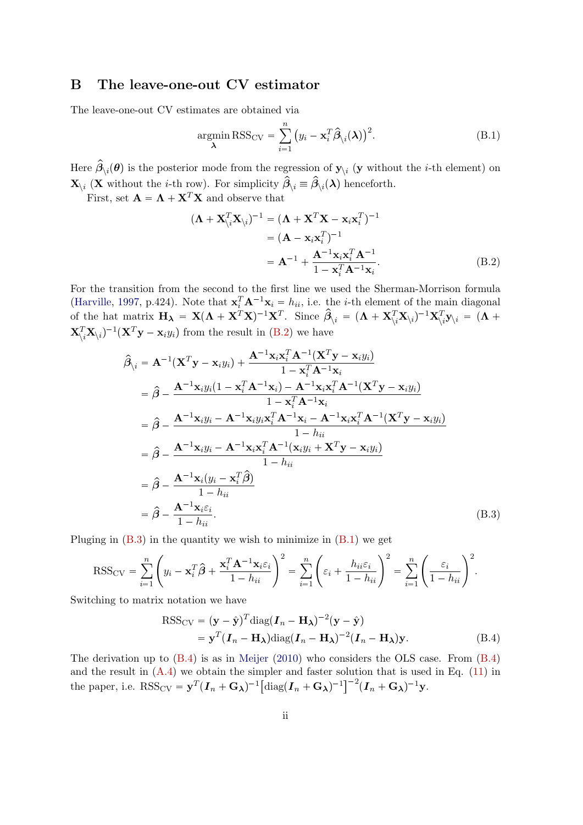## <span id="page-25-0"></span>B The leave-one-out CV estimator

The leave-one-out CV estimates are obtained via

<span id="page-25-3"></span>
$$
\underset{\lambda}{\operatorname{argmin}} \text{RSS}_{\text{CV}} = \sum_{i=1}^{n} \left( y_i - \mathbf{x}_i^T \hat{\boldsymbol{\beta}}_{\setminus i}(\lambda) \right)^2. \tag{B.1}
$$

Here  $\beta_{\setminus i}(\theta)$  is the posterior mode from the regression of  $\mathbf{y}_{\setminus i}$  (y without the *i*-th element) on  $\mathbf{X}_{\setminus i}$  (**X** without the *i*-th row). For simplicity  $\beta_{\setminus i} \equiv \beta_{\setminus i}(\lambda)$  henceforth.

First, set  $\mathbf{A} = \mathbf{\Lambda} + \mathbf{X}^T \mathbf{X}$  and observe that

<span id="page-25-1"></span>
$$
(\mathbf{\Lambda} + \mathbf{X}_{\backslash i}^T \mathbf{X}_{\backslash i})^{-1} = (\mathbf{\Lambda} + \mathbf{X}^T \mathbf{X} - \mathbf{x}_i \mathbf{x}_i^T)^{-1}
$$
  
=  $(\mathbf{A} - \mathbf{x}_i \mathbf{x}_i^T)^{-1}$   
=  $\mathbf{A}^{-1} + \frac{\mathbf{A}^{-1} \mathbf{x}_i \mathbf{x}_i^T \mathbf{A}^{-1}}{1 - \mathbf{x}_i^T \mathbf{A}^{-1} \mathbf{x}_i}.$  (B.2)

For the transition from the second to the first line we used the Sherman-Morrison formula [\(Harville,](#page-22-14) [1997,](#page-22-14) p.424). Note that  $\mathbf{x}_i^T \mathbf{A}^{-1} \mathbf{x}_i = h_{ii}$ , i.e. the *i*-th element of the main diagonal of the hat matrix  $\mathbf{H}_{\boldsymbol{\lambda}} = \mathbf{X}(\boldsymbol{\Lambda} + \mathbf{X}^T\mathbf{X})^{-1}\mathbf{X}^T$ . Since  $\hat{\boldsymbol{\beta}}_{\backslash i} = (\boldsymbol{\Lambda} + \mathbf{X}_{\backslash i}^T\mathbf{X}_{\backslash i})^{-1}\mathbf{X}_{\backslash i}^T\mathbf{y}_{\backslash i} = (\boldsymbol{\Lambda} + \mathbf{X}_{\backslash i}^T\mathbf{X}_{\backslash i})^{-1}\mathbf{X}_{\backslash i}^T\mathbf{y}_{\backslash i}$  $\mathbf{X}_{\langle i}^T \mathbf{X}_{\langle i \rangle}$  =  $( \mathbf{X}_i^T \mathbf{y} - \mathbf{x}_i y_i )$  from the result in [\(B.2\)](#page-25-1) we have

$$
\hat{\beta}_{\backslash i} = \mathbf{A}^{-1}(\mathbf{X}^{T}\mathbf{y} - \mathbf{x}_{i}y_{i}) + \frac{\mathbf{A}^{-1}\mathbf{x}_{i}\mathbf{x}_{i}^{T}\mathbf{A}^{-1}(\mathbf{X}^{T}\mathbf{y} - \mathbf{x}_{i}y_{i})}{1 - \mathbf{x}_{i}^{T}\mathbf{A}^{-1}\mathbf{x}_{i}} \n= \hat{\beta} - \frac{\mathbf{A}^{-1}\mathbf{x}_{i}y_{i}(1 - \mathbf{x}_{i}^{T}\mathbf{A}^{-1}\mathbf{x}_{i}) - \mathbf{A}^{-1}\mathbf{x}_{i}\mathbf{x}_{i}^{T}\mathbf{A}^{-1}(\mathbf{X}^{T}\mathbf{y} - \mathbf{x}_{i}y_{i})}{1 - \mathbf{x}_{i}^{T}\mathbf{A}^{-1}\mathbf{x}_{i}} \n= \hat{\beta} - \frac{\mathbf{A}^{-1}\mathbf{x}_{i}y_{i} - \mathbf{A}^{-1}\mathbf{x}_{i}y_{i}\mathbf{x}_{i}^{T}\mathbf{A}^{-1}\mathbf{x}_{i} - \mathbf{A}^{-1}\mathbf{x}_{i}\mathbf{x}_{i}^{T}\mathbf{A}^{-1}(\mathbf{X}^{T}\mathbf{y} - \mathbf{x}_{i}y_{i})}{1 - h_{ii}} \n= \hat{\beta} - \frac{\mathbf{A}^{-1}\mathbf{x}_{i}y_{i} - \mathbf{A}^{-1}\mathbf{x}_{i}\mathbf{x}_{i}^{T}\mathbf{A}^{-1}(\mathbf{x}_{i}y_{i} + \mathbf{X}^{T}\mathbf{y} - \mathbf{x}_{i}y_{i})}{1 - h_{ii}} \n= \hat{\beta} - \frac{\mathbf{A}^{-1}\mathbf{x}_{i}(y_{i} - \mathbf{x}_{i}^{T}\hat{\beta})}{1 - h_{ii}} \n= \hat{\beta} - \frac{\mathbf{A}^{-1}\mathbf{x}_{i}\varepsilon_{i}}{1 - h_{ii}}.
$$
\n(B.3)

Pluging in  $(B.3)$  in the quantity we wish to minimize in  $(B.1)$  we get

$$
\text{RSS}_{\text{CV}} = \sum_{i=1}^{n} \left( y_i - \mathbf{x}_i^T \hat{\boldsymbol{\beta}} + \frac{\mathbf{x}_i^T \mathbf{A}^{-1} \mathbf{x}_i \varepsilon_i}{1 - h_{ii}} \right)^2 = \sum_{i=1}^{n} \left( \varepsilon_i + \frac{h_{ii} \varepsilon_i}{1 - h_{ii}} \right)^2 = \sum_{i=1}^{n} \left( \frac{\varepsilon_i}{1 - h_{ii}} \right)^2.
$$

Switching to matrix notation we have

<span id="page-25-4"></span><span id="page-25-2"></span>
$$
RSS_{CV} = (\mathbf{y} - \hat{\mathbf{y}})^{T} \text{diag}(\mathbf{I}_{n} - \mathbf{H}_{\lambda})^{-2} (\mathbf{y} - \hat{\mathbf{y}})
$$
  
=  $\mathbf{y}^{T} (\mathbf{I}_{n} - \mathbf{H}_{\lambda}) \text{diag}(\mathbf{I}_{n} - \mathbf{H}_{\lambda})^{-2} (\mathbf{I}_{n} - \mathbf{H}_{\lambda}) \mathbf{y}.$  (B.4)

The derivation up to [\(B.4\)](#page-25-4) is as in [Meijer](#page-22-15) [\(2010\)](#page-22-15) who considers the OLS case. From [\(B.4\)](#page-25-4) and the result in [\(A.4\)](#page-24-3) we obtain the simpler and faster solution that is used in Eq. [\(11\)](#page-6-0) in the paper, i.e.  $RSS_{CV} = \mathbf{y}^T (\boldsymbol{I}_n + \mathbf{G}_{\boldsymbol{\lambda}})^{-1} [\text{diag}(\boldsymbol{I}_n + \mathbf{G}_{\boldsymbol{\lambda}})^{-1}]^{-2} (\boldsymbol{I}_n + \mathbf{G}_{\boldsymbol{\lambda}})^{-1} \mathbf{y}.$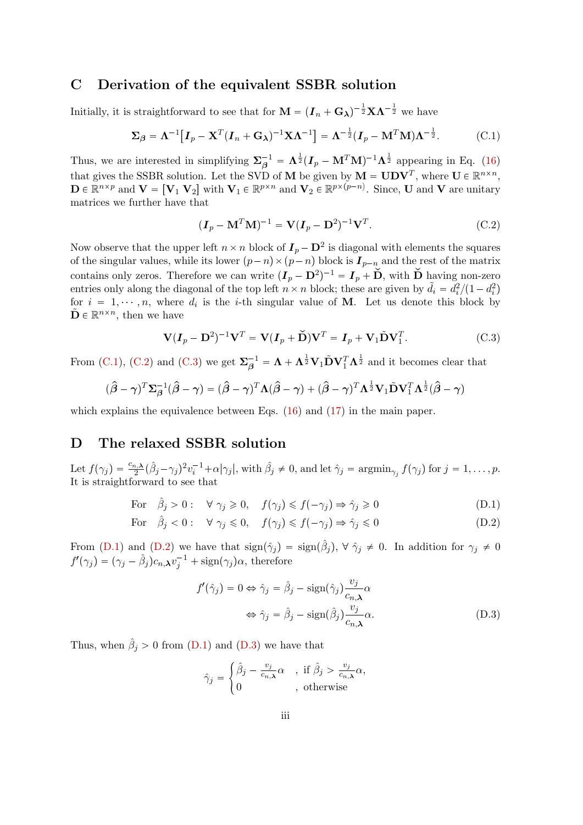## <span id="page-26-0"></span>C Derivation of the equivalent SSBR solution

Initially, it is straightforward to see that for  $\mathbf{M} = (\mathbf{I}_n + \mathbf{G}_{\lambda})^{-\frac{1}{2}} \mathbf{X} \mathbf{\Lambda}^{-\frac{1}{2}}$  we have

<span id="page-26-2"></span>
$$
\Sigma_{\beta} = \Lambda^{-1} \big[ I_p - \mathbf{X}^T (I_n + \mathbf{G}_{\lambda})^{-1} \mathbf{X} \Lambda^{-1} \big] = \Lambda^{-\frac{1}{2}} (I_p - \mathbf{M}^T \mathbf{M}) \Lambda^{-\frac{1}{2}}.
$$
 (C.1)

Thus, we are interested in simplifying  $\Sigma_{\beta}^{-1} = \Lambda^{\frac{1}{2}} (I_p - M^T M)^{-1} \Lambda^{\frac{1}{2}}$  appearing in Eq. [\(16\)](#page-8-1) that gives the SSBR solution. Let the SVD of **M** be given by  $M = UDV^T$ , where  $U \in \mathbb{R}^{n \times n}$ ,  $\mathbf{D} \in \mathbb{R}^{n \times p}$  and  $\mathbf{V} = [\mathbf{V}_1 \ \mathbf{V}_2]$  with  $\mathbf{V}_1 \in \mathbb{R}^{p \times n}$  and  $\mathbf{V}_2 \in \mathbb{R}^{p \times (p-n)}$ . Since, U and V are unitary matrices we further have that

<span id="page-26-3"></span>
$$
(\boldsymbol{I}_p - \mathbf{M}^T \mathbf{M})^{-1} = \mathbf{V} (\boldsymbol{I}_p - \mathbf{D}^2)^{-1} \mathbf{V}^T.
$$
 (C.2)

Now observe that the upper left  $n \times n$  block of  $I_p - D^2$  is diagonal with elements the squares of the singular values, while its lower  $(p-n) \times (p-n)$  block is  $I_{p-n}$  and the rest of the matrix contains only zeros. Therefore we can write  $(I_p - D^2)^{-1} = I_p + \check{D}$ , with  $\check{D}$  having non-zero entries only along the diagonal of the top left  $n \times n$  block; these are given by  $\tilde{d}_i = d_i^2/(1 - d_i^2)$ for  $i = 1, \dots, n$ , where  $d_i$  is the *i*-th singular value of **M**. Let us denote this block by  $\tilde{\mathbf{D}} \in \mathbb{R}^{n \times n}$ , then we have

<span id="page-26-4"></span>
$$
\mathbf{V}(\mathbf{I}_p - \mathbf{D}^2)^{-1}\mathbf{V}^T = \mathbf{V}(\mathbf{I}_p + \check{\mathbf{D}})\mathbf{V}^T = \mathbf{I}_p + \mathbf{V}_1\tilde{\mathbf{D}}\mathbf{V}_1^T.
$$
 (C.3)

From [\(C.1\)](#page-26-2), [\(C.2\)](#page-26-3) and [\(C.3\)](#page-26-4) we get  $\Sigma_{\beta}^{-1} = \Lambda + \Lambda^{\frac{1}{2}} V_1 \tilde{D} V_1^T \Lambda^{\frac{1}{2}}$  and it becomes clear that

$$
(\hat{\boldsymbol{\beta}} - \boldsymbol{\gamma})^T \boldsymbol{\Sigma}_{\boldsymbol{\beta}}^{-1} (\hat{\boldsymbol{\beta}} - \boldsymbol{\gamma}) = (\hat{\boldsymbol{\beta}} - \boldsymbol{\gamma})^T \boldsymbol{\Lambda} (\hat{\boldsymbol{\beta}} - \boldsymbol{\gamma}) + (\hat{\boldsymbol{\beta}} - \boldsymbol{\gamma})^T \boldsymbol{\Lambda}^{\frac{1}{2}} \mathbf{V}_1 \tilde{\mathbf{D}} \mathbf{V}_1^T \boldsymbol{\Lambda}^{\frac{1}{2}} (\hat{\boldsymbol{\beta}} - \boldsymbol{\gamma})
$$

which explains the equivalence between Eqs.  $(16)$  and  $(17)$  in the main paper.

## <span id="page-26-1"></span>D The relaxed SSBR solution

Let  $f(\gamma_j) = \frac{c_{n,\lambda}}{2} (\hat{\beta}_j - \gamma_j)^2 v_i^{-1} + \alpha |\gamma_j|$ , with  $\hat{\beta}_j \neq 0$ , and let  $\hat{\gamma}_j = \operatorname{argmin}_{\gamma_j} f(\gamma_j)$  for  $j = 1, \ldots, p$ . It is straightforward to see that

For 
$$
\hat{\beta}_j > 0
$$
:  $\forall \gamma_j \geq 0, \quad f(\gamma_j) \leq f(-\gamma_j) \Rightarrow \hat{\gamma}_j \geq 0$  (D.1)

For 
$$
\hat{\beta}_j < 0
$$
:  $\forall \gamma_j \leq 0, \quad f(\gamma_j) \leq f(-\gamma_j) \Rightarrow \hat{\gamma}_j \leq 0$  (D.2)

From [\(D.1\)](#page-26-5) and [\(D.2\)](#page-26-6) we have that  $sign(\hat{\gamma}_j) = sign(\hat{\beta}_j)$ ,  $\forall \hat{\gamma}_j \neq 0$ . In addition for  $\gamma_j \neq 0$  $f'(\gamma_j) = (\gamma_j - \hat{\beta}_j)c_{n,\boldsymbol{\lambda}}v_j^{-1} + \text{sign}(\gamma_j)\alpha$ , therefore

<span id="page-26-6"></span><span id="page-26-5"></span>
$$
f'(\hat{\gamma}_j) = 0 \Leftrightarrow \hat{\gamma}_j = \hat{\beta}_j - \text{sign}(\hat{\gamma}_j) \frac{v_j}{c_{n,\lambda}} \alpha
$$
  

$$
\Leftrightarrow \hat{\gamma}_j = \hat{\beta}_j - \text{sign}(\hat{\beta}_j) \frac{v_j}{c_{n,\lambda}} \alpha.
$$
 (D.3)

Thus, when  $\hat{\beta}_j > 0$  from [\(D.1\)](#page-26-5) and [\(D.3\)](#page-26-7) we have that

<span id="page-26-7"></span>
$$
\hat{\gamma}_j = \begin{cases} \hat{\beta}_j - \frac{v_j}{c_{n,\boldsymbol{\lambda}}} \alpha & , \text{ if } \hat{\beta}_j > \frac{v_j}{c_{n,\boldsymbol{\lambda}}} \alpha, \\ 0 & , \text{ otherwise} \end{cases}
$$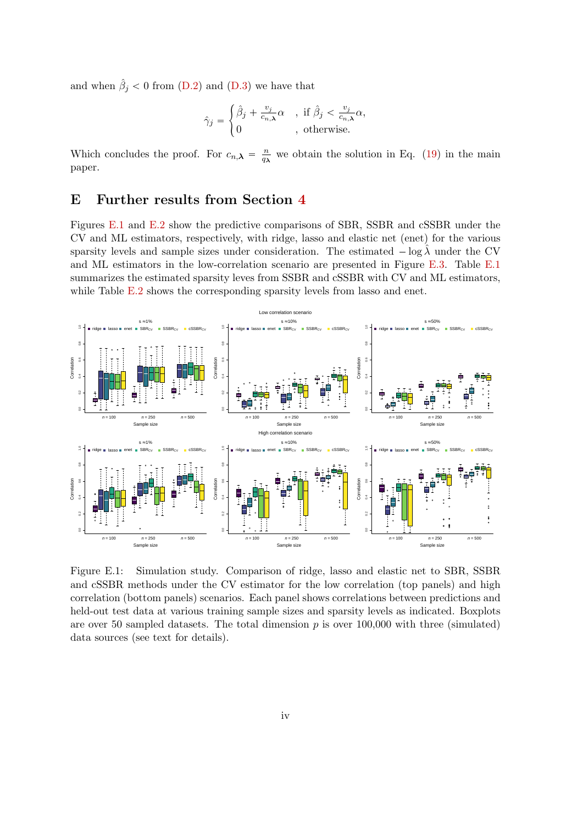and when  $\hat{\beta}_j < 0$  from [\(D.2\)](#page-26-6) and [\(D.3\)](#page-26-7) we have that

$$
\hat{\gamma}_j = \begin{cases} \hat{\beta}_j + \frac{v_j}{c_{n,\lambda}} \alpha & , \text{ if } \hat{\beta}_j < \frac{v_j}{c_{n,\lambda}} \alpha, \\ 0 & , \text{ otherwise.} \end{cases}
$$

Which concludes the proof. For  $c_{n,\lambda} = \frac{n}{q}$  $\frac{n}{q_{\lambda}}$  we obtain the solution in Eq. [\(19\)](#page-9-2) in the main paper.

## <span id="page-27-0"></span>E Further results from Section [4](#page-11-0)

Figures [E.1](#page-27-1) and [E.2](#page-28-0) show the predictive comparisons of SBR, SSBR and cSSBR under the CV and ML estimators, respectively, with ridge, lasso and elastic net (enet) for the various sparsity levels and sample sizes under consideration. The estimated  $-\log \hat{\lambda}$  under the CV and ML estimators in the low-correlation scenario are presented in Figure  $E.3$ . Table  $E.1$ summarizes the estimated sparsity leves from SSBR and cSSBR with CV and ML estimators, while Table [E.2](#page-30-1) shows the corresponding sparsity levels from lasso and enet.



<span id="page-27-1"></span>Figure E.1: Simulation study. Comparison of ridge, lasso and elastic net to SBR, SSBR and cSSBR methods under the CV estimator for the low correlation (top panels) and high correlation (bottom panels) scenarios. Each panel shows correlations between predictions and held-out test data at various training sample sizes and sparsity levels as indicated. Boxplots are over 50 sampled datasets. The total dimension  $p$  is over 100,000 with three (simulated) data sources (see text for details).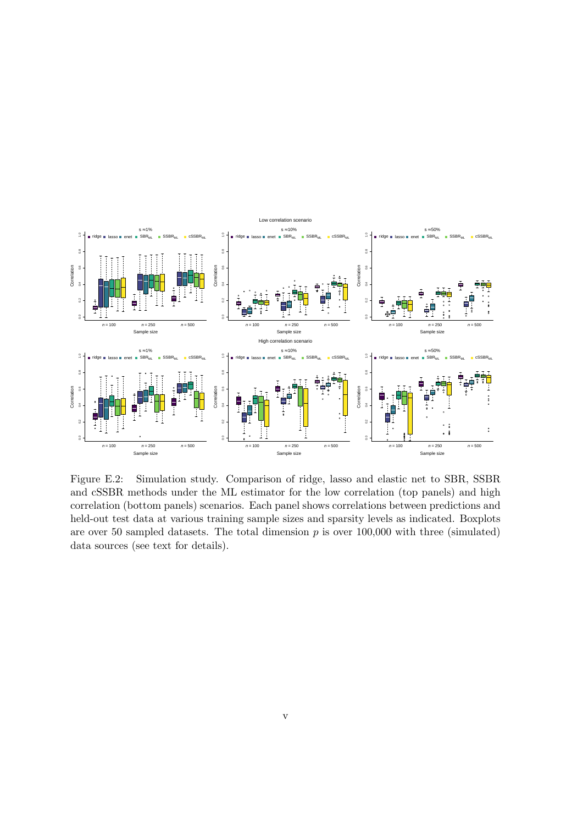

<span id="page-28-0"></span>Figure E.2: Simulation study. Comparison of ridge, lasso and elastic net to SBR, SSBR and cSSBR methods under the ML estimator for the low correlation (top panels) and high correlation (bottom panels) scenarios. Each panel shows correlations between predictions and held-out test data at various training sample sizes and sparsity levels as indicated. Boxplots are over 50 sampled datasets. The total dimension  $p$  is over 100,000 with three (simulated) data sources (see text for details).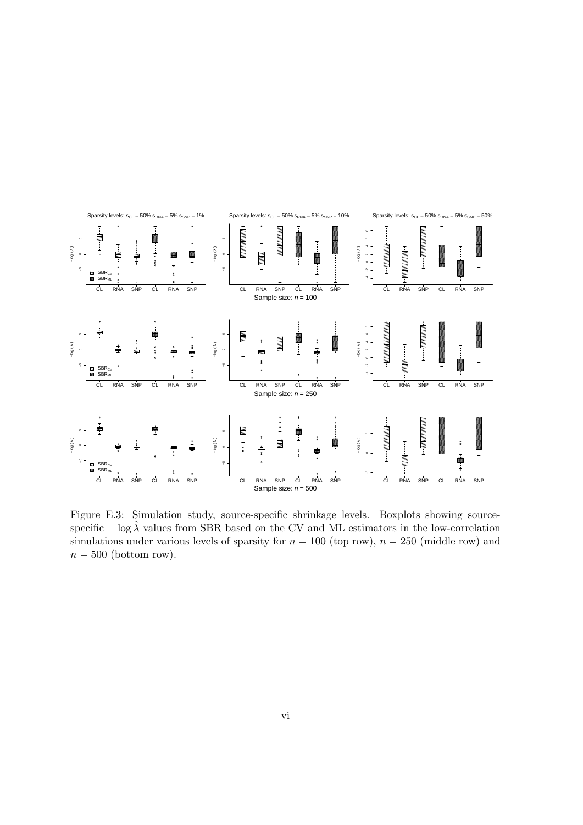

<span id="page-29-0"></span>Figure E.3: Simulation study, source-specific shrinkage levels. Boxplots showing sourcespecific  $-\log \hat{\lambda}$  values from SBR based on the CV and ML estimators in the low-correlation simulations under various levels of sparsity for  $n = 100$  (top row),  $n = 250$  (middle row) and  $n = 500$  (bottom row).